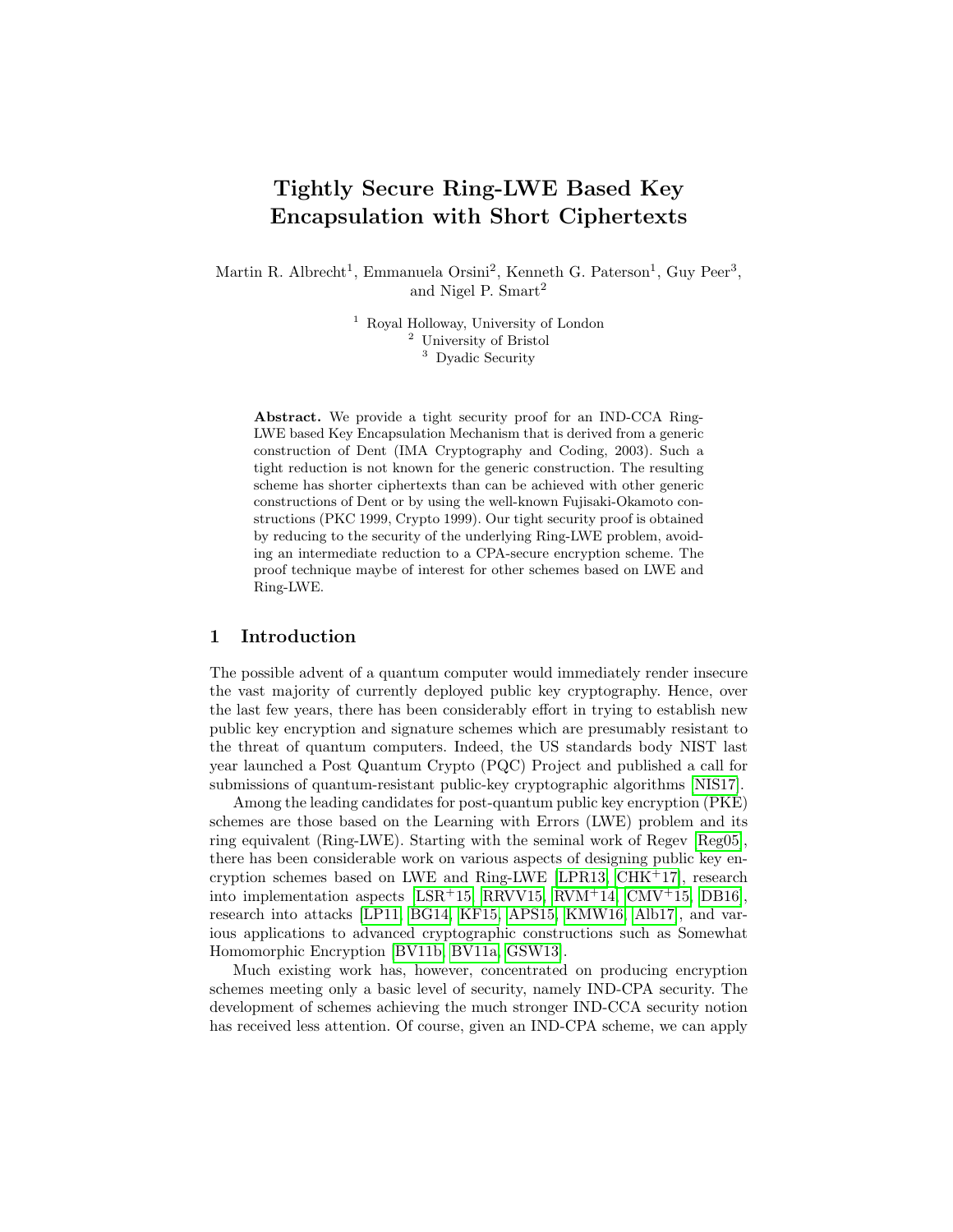# Tightly Secure Ring-LWE Based Key Encapsulation with Short Ciphertexts

Martin R. Albrecht<sup>1</sup>, Emmanuela Orsini<sup>2</sup>, Kenneth G. Paterson<sup>1</sup>, Guy Peer<sup>3</sup>, and Nigel P. Smart<sup>2</sup>

> <sup>1</sup> Royal Holloway, University of London <sup>2</sup> University of Bristol <sup>3</sup> Dyadic Security

Abstract. We provide a tight security proof for an IND-CCA Ring-LWE based Key Encapsulation Mechanism that is derived from a generic construction of Dent (IMA Cryptography and Coding, 2003). Such a tight reduction is not known for the generic construction. The resulting scheme has shorter ciphertexts than can be achieved with other generic constructions of Dent or by using the well-known Fujisaki-Okamoto constructions (PKC 1999, Crypto 1999). Our tight security proof is obtained by reducing to the security of the underlying Ring-LWE problem, avoiding an intermediate reduction to a CPA-secure encryption scheme. The proof technique maybe of interest for other schemes based on LWE and Ring-LWE.

### 1 Introduction

The possible advent of a quantum computer would immediately render insecure the vast majority of currently deployed public key cryptography. Hence, over the last few years, there has been considerably effort in trying to establish new public key encryption and signature schemes which are presumably resistant to the threat of quantum computers. Indeed, the US standards body NIST last year launched a Post Quantum Crypto (PQC) Project and published a call for submissions of quantum-resistant public-key cryptographic algorithms [\[NIS17\]](#page-17-0).

Among the leading candidates for post-quantum public key encryption (PKE) schemes are those based on the Learning with Errors (LWE) problem and its ring equivalent (Ring-LWE). Starting with the seminal work of Regev [\[Reg05\]](#page-17-1), there has been considerable work on various aspects of designing public key encryption schemes based on LWE and Ring-LWE [\[LPR13,](#page-17-2) [CHK](#page-16-0)<sup>+</sup>17], research into implementation aspects [\[LSR](#page-17-3)+15, [RRVV15,](#page-17-4) [RVM](#page-17-5)+14,  $CMV+15$ , [DB16\]](#page-16-2), research into attacks [\[LP11,](#page-17-6) [BG14,](#page-15-0) [KF15,](#page-17-7) [APS15,](#page-15-1) [KMW16,](#page-17-8) [Alb17\]](#page-15-2), and various applications to advanced cryptographic constructions such as Somewhat Homomorphic Encryption [\[BV11b,](#page-16-3) [BV11a,](#page-16-4) [GSW13\]](#page-16-5).

Much existing work has, however, concentrated on producing encryption schemes meeting only a basic level of security, namely IND-CPA security. The development of schemes achieving the much stronger IND-CCA security notion has received less attention. Of course, given an IND-CPA scheme, we can apply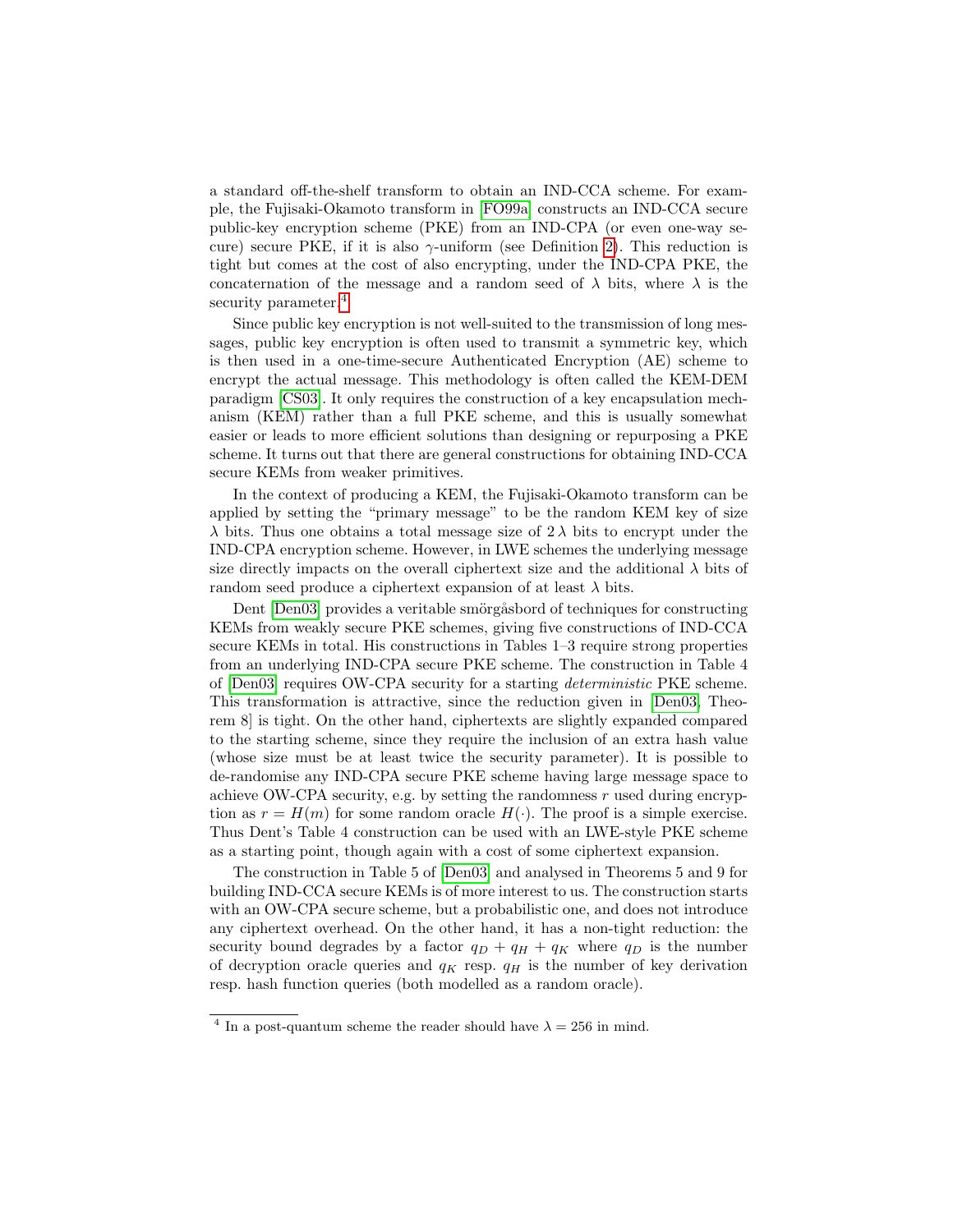a standard off-the-shelf transform to obtain an IND-CCA scheme. For example, the Fujisaki-Okamoto transform in [\[FO99a\]](#page-16-6) constructs an IND-CCA secure public-key encryption scheme (PKE) from an IND-CPA (or even one-way secure) secure PKE, if it is also  $\gamma$ -uniform (see Definition [2\)](#page-8-0). This reduction is tight but comes at the cost of also encrypting, under the IND-CPA PKE, the concaternation of the message and a random seed of  $\lambda$  bits, where  $\lambda$  is the security parameter.<sup>[4](#page-1-0)</sup>

Since public key encryption is not well-suited to the transmission of long messages, public key encryption is often used to transmit a symmetric key, which is then used in a one-time-secure Authenticated Encryption (AE) scheme to encrypt the actual message. This methodology is often called the KEM-DEM paradigm [\[CS03\]](#page-16-7). It only requires the construction of a key encapsulation mechanism (KEM) rather than a full PKE scheme, and this is usually somewhat easier or leads to more efficient solutions than designing or repurposing a PKE scheme. It turns out that there are general constructions for obtaining IND-CCA secure KEMs from weaker primitives.

In the context of producing a KEM, the Fujisaki-Okamoto transform can be applied by setting the "primary message" to be the random KEM key of size  $\lambda$  bits. Thus one obtains a total message size of  $2\lambda$  bits to encrypt under the IND-CPA encryption scheme. However, in LWE schemes the underlying message size directly impacts on the overall ciphertext size and the additional  $\lambda$  bits of random seed produce a ciphertext expansion of at least  $\lambda$  bits.

Dent [\[Den03\]](#page-16-8) provides a veritable smörgåsbord of techniques for constructing KEMs from weakly secure PKE schemes, giving five constructions of IND-CCA secure KEMs in total. His constructions in Tables 1–3 require strong properties from an underlying IND-CPA secure PKE scheme. The construction in Table 4 of [\[Den03\]](#page-16-8) requires OW-CPA security for a starting deterministic PKE scheme. This transformation is attractive, since the reduction given in [\[Den03,](#page-16-8) Theorem 8] is tight. On the other hand, ciphertexts are slightly expanded compared to the starting scheme, since they require the inclusion of an extra hash value (whose size must be at least twice the security parameter). It is possible to de-randomise any IND-CPA secure PKE scheme having large message space to achieve OW-CPA security, e.g. by setting the randomness  $r$  used during encryption as  $r = H(m)$  for some random oracle  $H(\cdot)$ . The proof is a simple exercise. Thus Dent's Table 4 construction can be used with an LWE-style PKE scheme as a starting point, though again with a cost of some ciphertext expansion.

The construction in Table 5 of [\[Den03\]](#page-16-8) and analysed in Theorems 5 and 9 for building IND-CCA secure KEMs is of more interest to us. The construction starts with an OW-CPA secure scheme, but a probabilistic one, and does not introduce any ciphertext overhead. On the other hand, it has a non-tight reduction: the security bound degrades by a factor  $q_D + q_H + q_K$  where  $q_D$  is the number of decryption oracle queries and  $q_K$  resp.  $q_H$  is the number of key derivation resp. hash function queries (both modelled as a random oracle).

<span id="page-1-0"></span><sup>&</sup>lt;sup>4</sup> In a post-quantum scheme the reader should have  $\lambda = 256$  in mind.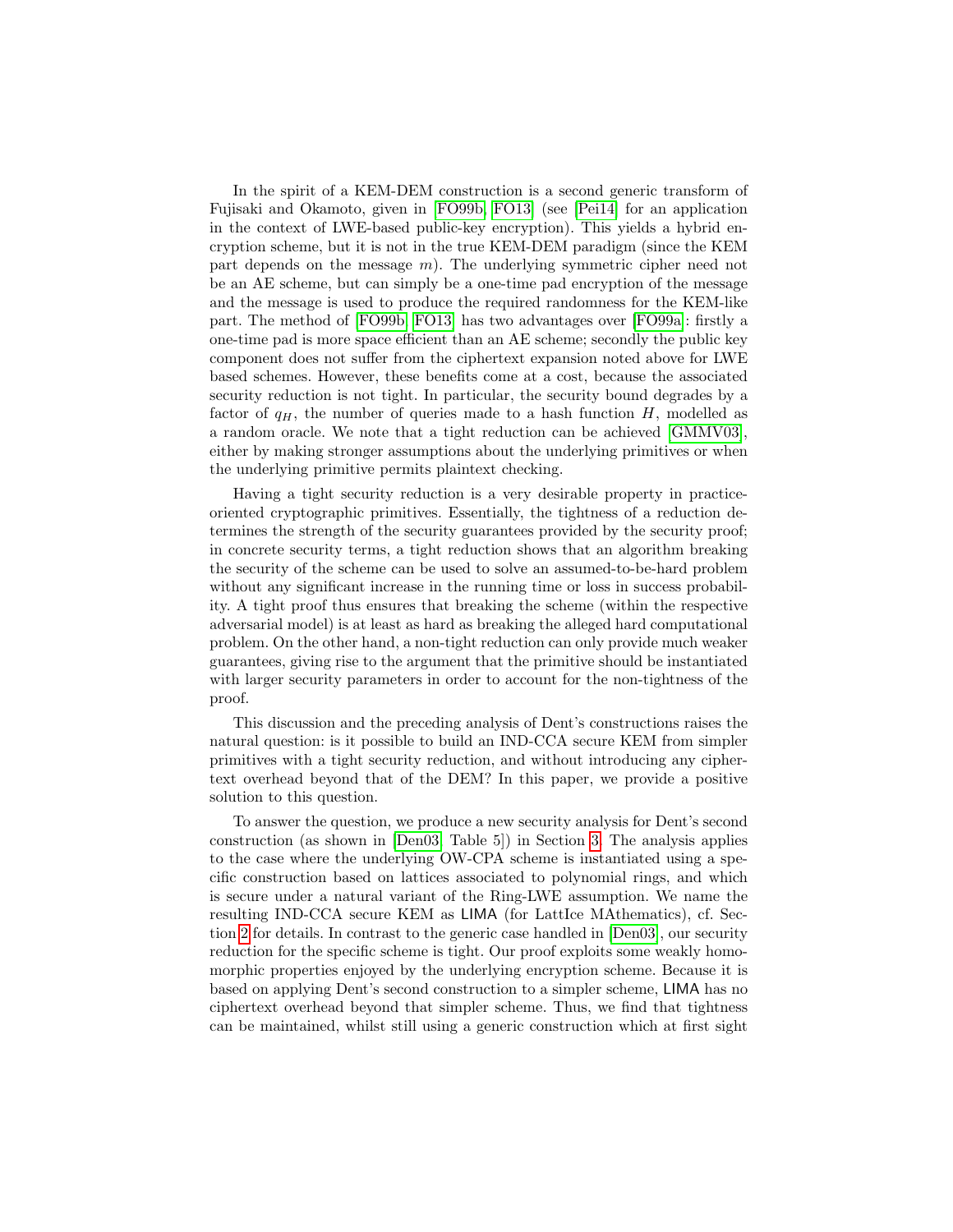In the spirit of a KEM-DEM construction is a second generic transform of Fujisaki and Okamoto, given in [\[FO99b,](#page-16-9) [FO13\]](#page-16-10) (see [\[Pei14\]](#page-17-9) for an application in the context of LWE-based public-key encryption). This yields a hybrid encryption scheme, but it is not in the true KEM-DEM paradigm (since the KEM part depends on the message  $m$ ). The underlying symmetric cipher need not be an AE scheme, but can simply be a one-time pad encryption of the message and the message is used to produce the required randomness for the KEM-like part. The method of [\[FO99b,](#page-16-9) [FO13\]](#page-16-10) has two advantages over [\[FO99a\]](#page-16-6): firstly a one-time pad is more space efficient than an AE scheme; secondly the public key component does not suffer from the ciphertext expansion noted above for LWE based schemes. However, these benefits come at a cost, because the associated security reduction is not tight. In particular, the security bound degrades by a factor of  $q_H$ , the number of queries made to a hash function H, modelled as a random oracle. We note that a tight reduction can be achieved [\[GMMV03\]](#page-16-11), either by making stronger assumptions about the underlying primitives or when the underlying primitive permits plaintext checking.

Having a tight security reduction is a very desirable property in practiceoriented cryptographic primitives. Essentially, the tightness of a reduction determines the strength of the security guarantees provided by the security proof; in concrete security terms, a tight reduction shows that an algorithm breaking the security of the scheme can be used to solve an assumed-to-be-hard problem without any significant increase in the running time or loss in success probability. A tight proof thus ensures that breaking the scheme (within the respective adversarial model) is at least as hard as breaking the alleged hard computational problem. On the other hand, a non-tight reduction can only provide much weaker guarantees, giving rise to the argument that the primitive should be instantiated with larger security parameters in order to account for the non-tightness of the proof.

This discussion and the preceding analysis of Dent's constructions raises the natural question: is it possible to build an IND-CCA secure KEM from simpler primitives with a tight security reduction, and without introducing any ciphertext overhead beyond that of the DEM? In this paper, we provide a positive solution to this question.

To answer the question, we produce a new security analysis for Dent's second construction (as shown in [\[Den03,](#page-16-8) Table 5]) in Section [3.](#page-7-0) The analysis applies to the case where the underlying OW-CPA scheme is instantiated using a specific construction based on lattices associated to polynomial rings, and which is secure under a natural variant of the Ring-LWE assumption. We name the resulting IND-CCA secure KEM as LIMA (for LattIce MAthematics), cf. Section [2](#page-4-0) for details. In contrast to the generic case handled in [\[Den03\]](#page-16-8), our security reduction for the specific scheme is tight. Our proof exploits some weakly homomorphic properties enjoyed by the underlying encryption scheme. Because it is based on applying Dent's second construction to a simpler scheme, LIMA has no ciphertext overhead beyond that simpler scheme. Thus, we find that tightness can be maintained, whilst still using a generic construction which at first sight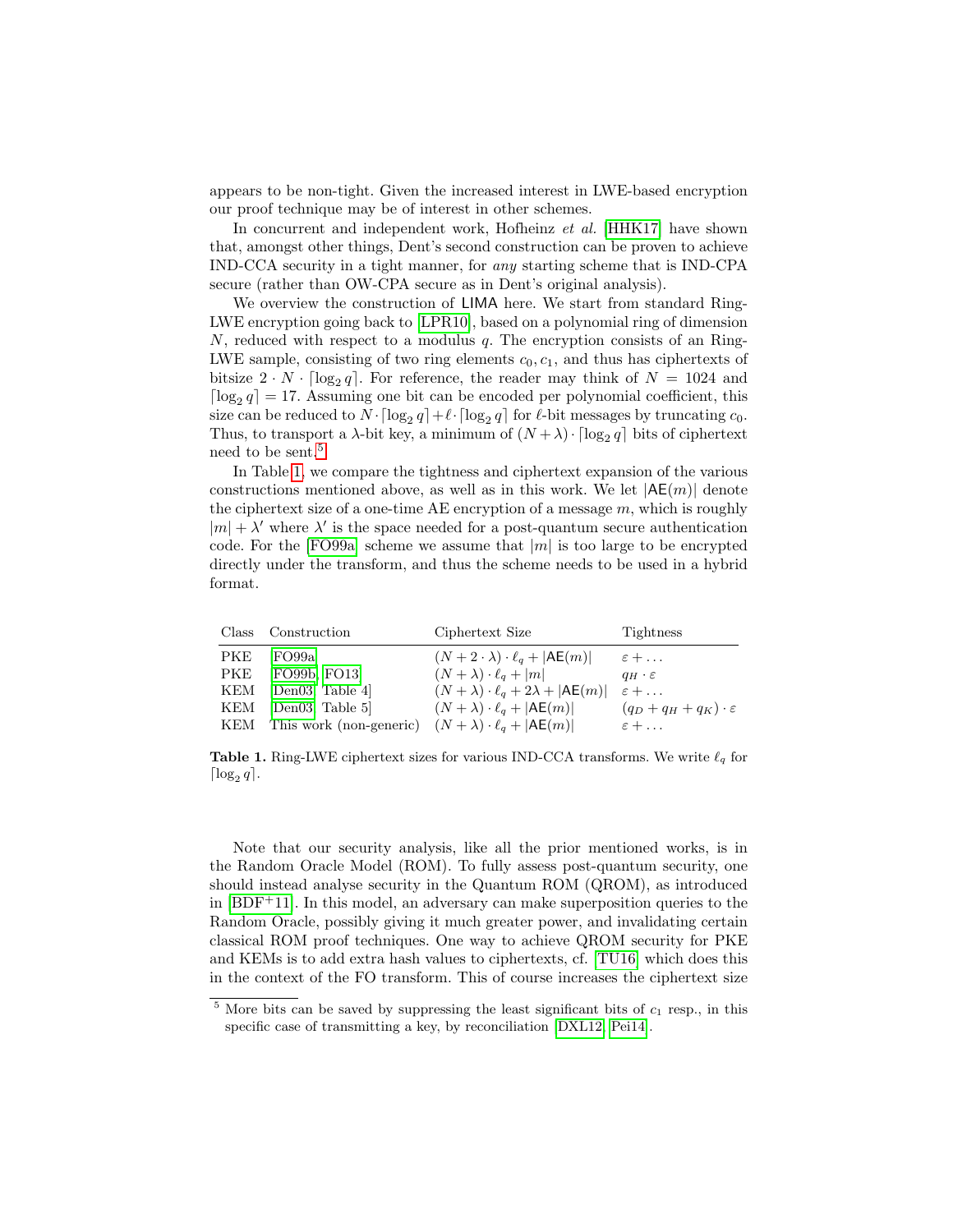appears to be non-tight. Given the increased interest in LWE-based encryption our proof technique may be of interest in other schemes.

In concurrent and independent work, Hofheinz et al. [\[HHK17\]](#page-17-10) have shown that, amongst other things, Dent's second construction can be proven to achieve IND-CCA security in a tight manner, for any starting scheme that is IND-CPA secure (rather than OW-CPA secure as in Dent's original analysis).

We overview the construction of LIMA here. We start from standard Ring-LWE encryption going back to [\[LPR10\]](#page-17-11), based on a polynomial ring of dimension  $N$ , reduced with respect to a modulus  $q$ . The encryption consists of an Ring-LWE sample, consisting of two ring elements  $c_0, c_1$ , and thus has ciphertexts of bitsize  $2 \cdot N \cdot \lceil \log_2 q \rceil$ . For reference, the reader may think of  $N = 1024$  and  $\lceil \log_2 q \rceil = 17$ . Assuming one bit can be encoded per polynomial coefficient, this size can be reduced to  $N \cdot \lceil \log_2 q \rceil + \ell \cdot \lceil \log_2 q \rceil$  for  $\ell$ -bit messages by truncating  $c_0$ . Thus, to transport a  $\lambda$ -bit key, a minimum of  $(N + \lambda) \cdot \lceil \log_2 q \rceil$  bits of ciphertext need to be sent.<sup>[5](#page-3-0)</sup>

In Table [1,](#page-3-1) we compare the tightness and ciphertext expansion of the various constructions mentioned above, as well as in this work. We let  $|AE(m)|$  denote the ciphertext size of a one-time AE encryption of a message  $m$ , which is roughly  $|m| + \lambda'$  where  $\lambda'$  is the space needed for a post-quantum secure authentication code. For the [\[FO99a\]](#page-16-6) scheme we assume that  $|m|$  is too large to be encrypted directly under the transform, and thus the scheme needs to be used in a hybrid format.

| Class Construction                                                          | Ciphertext Size                                                           | Tightness                       |
|-----------------------------------------------------------------------------|---------------------------------------------------------------------------|---------------------------------|
| PKE [FO99a]                                                                 | $(N+2\cdot\lambda)\cdot\ell_q+ \mathsf{AE}(m)  \qquad \varepsilon+\ldots$ |                                 |
| PKE [FO99b, FO13]                                                           | $(N + \lambda) \cdot \ell_q +  m $                                        | $q_H \cdot \varepsilon$         |
| KEM [Den03, Table 4]                                                        | $(N + \lambda) \cdot \ell_a + 2\lambda +  \mathsf{AE}(m) $                | $\varepsilon + \ldots$          |
| KEM [Den03, Table 5]                                                        | $(N + \lambda) \cdot \ell_q +  AE(m) $                                    | $(q_D+q_H+q_K)\cdot\varepsilon$ |
| KEM This work (non-generic) $(N + \lambda) \cdot \ell_q +  \mathsf{AE}(m) $ |                                                                           | $\varepsilon + \ldots$          |

<span id="page-3-1"></span>**Table 1.** Ring-LWE ciphertext sizes for various IND-CCA transforms. We write  $\ell_q$  for  $\lceil \log_2 q \rceil$ .

Note that our security analysis, like all the prior mentioned works, is in the Random Oracle Model (ROM). To fully assess post-quantum security, one should instead analyse security in the Quantum ROM (QROM), as introduced in  $[BDF+11]$  $[BDF+11]$ . In this model, an adversary can make superposition queries to the Random Oracle, possibly giving it much greater power, and invalidating certain classical ROM proof techniques. One way to achieve QROM security for PKE and KEMs is to add extra hash values to ciphertexts, cf. [\[TU16\]](#page-17-12) which does this in the context of the FO transform. This of course increases the ciphertext size

<span id="page-3-0"></span> $5$  More bits can be saved by suppressing the least significant bits of  $c_1$  resp., in this specific case of transmitting a key, by reconciliation [\[DXL12,](#page-16-12) [Pei14\]](#page-17-9).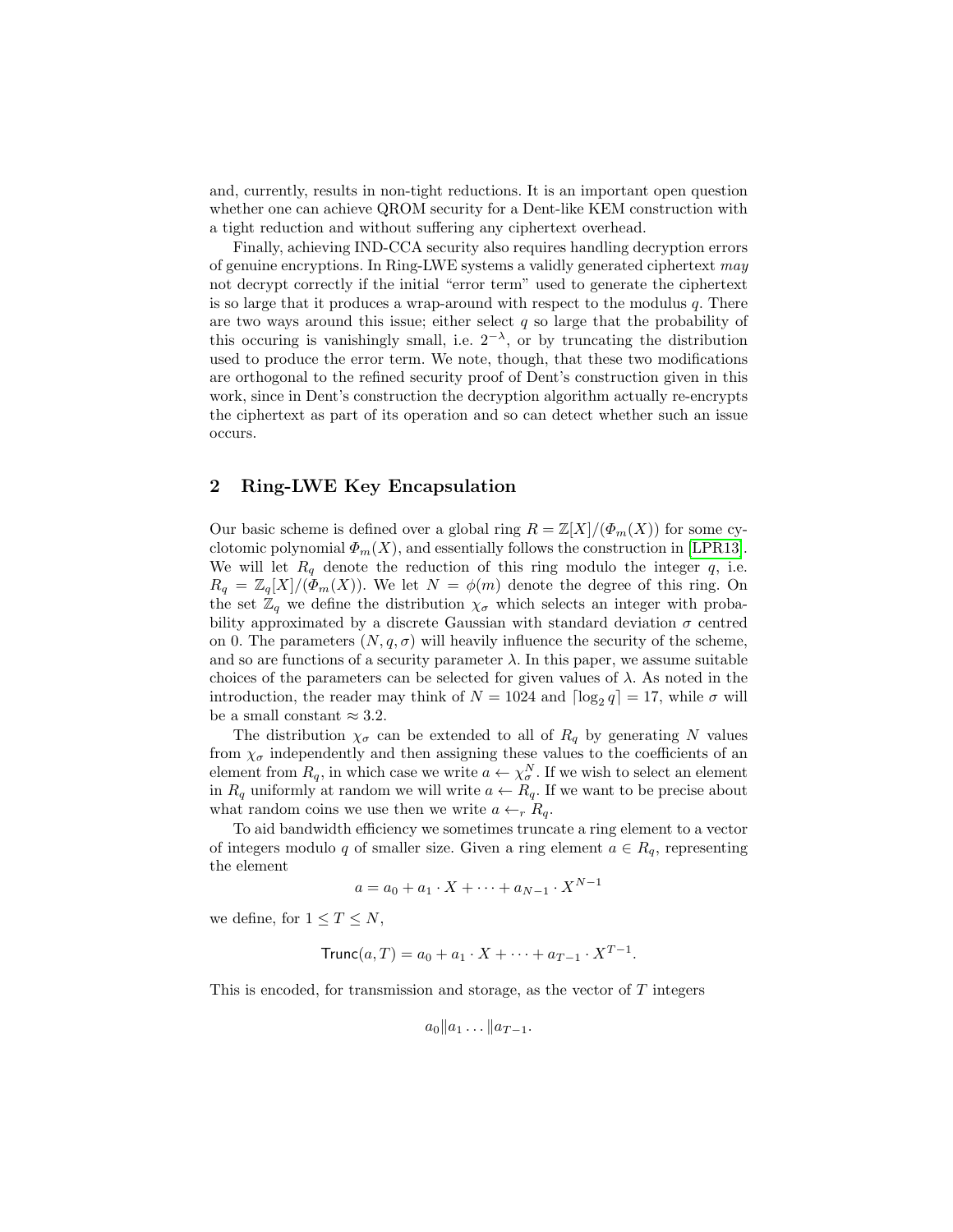and, currently, results in non-tight reductions. It is an important open question whether one can achieve QROM security for a Dent-like KEM construction with a tight reduction and without suffering any ciphertext overhead.

Finally, achieving IND-CCA security also requires handling decryption errors of genuine encryptions. In Ring-LWE systems a validly generated ciphertext may not decrypt correctly if the initial "error term" used to generate the ciphertext is so large that it produces a wrap-around with respect to the modulus  $q$ . There are two ways around this issue; either select  $q$  so large that the probability of this occuring is vanishingly small, i.e.  $2^{-\lambda}$ , or by truncating the distribution used to produce the error term. We note, though, that these two modifications are orthogonal to the refined security proof of Dent's construction given in this work, since in Dent's construction the decryption algorithm actually re-encrypts the ciphertext as part of its operation and so can detect whether such an issue occurs.

# <span id="page-4-0"></span>2 Ring-LWE Key Encapsulation

Our basic scheme is defined over a global ring  $R = \mathbb{Z}[X]/(\Phi_m(X))$  for some cyclotomic polynomial  $\Phi_m(X)$ , and essentially follows the construction in [\[LPR13\]](#page-17-2). We will let  $R_q$  denote the reduction of this ring modulo the integer q, i.e.  $R_q = \mathbb{Z}_q[X]/(\Phi_m(X))$ . We let  $N = \phi(m)$  denote the degree of this ring. On the set  $\mathbb{Z}_q$  we define the distribution  $\chi_{\sigma}$  which selects an integer with probability approximated by a discrete Gaussian with standard deviation  $\sigma$  centred on 0. The parameters  $(N, q, \sigma)$  will heavily influence the security of the scheme, and so are functions of a security parameter  $\lambda$ . In this paper, we assume suitable choices of the parameters can be selected for given values of  $\lambda$ . As noted in the introduction, the reader may think of  $N = 1024$  and  $\lceil \log_2 q \rceil = 17$ , while  $\sigma$  will be a small constant  $\approx 3.2$ .

The distribution  $\chi_{\sigma}$  can be extended to all of  $R_q$  by generating N values from  $\chi_{\sigma}$  independently and then assigning these values to the coefficients of an element from  $R_q$ , in which case we write  $a \leftarrow \chi_{\sigma}^N$ . If we wish to select an element in  $R_q$  uniformly at random we will write  $a \leftarrow R_q$ . If we want to be precise about what random coins we use then we write  $a \leftarrow_r R_q$ .

To aid bandwidth efficiency we sometimes truncate a ring element to a vector of integers modulo q of smaller size. Given a ring element  $a \in R_q$ , representing the element

$$
a = a_0 + a_1 \cdot X + \dots + a_{N-1} \cdot X^{N-1}
$$

we define, for  $1 \leq T \leq N$ ,

$$
Trunc(a, T) = a_0 + a_1 \cdot X + \dots + a_{T-1} \cdot X^{T-1}.
$$

This is encoded, for transmission and storage, as the vector of  $T$  integers

$$
a_0\|a_1\dots\|a_{T-1}.
$$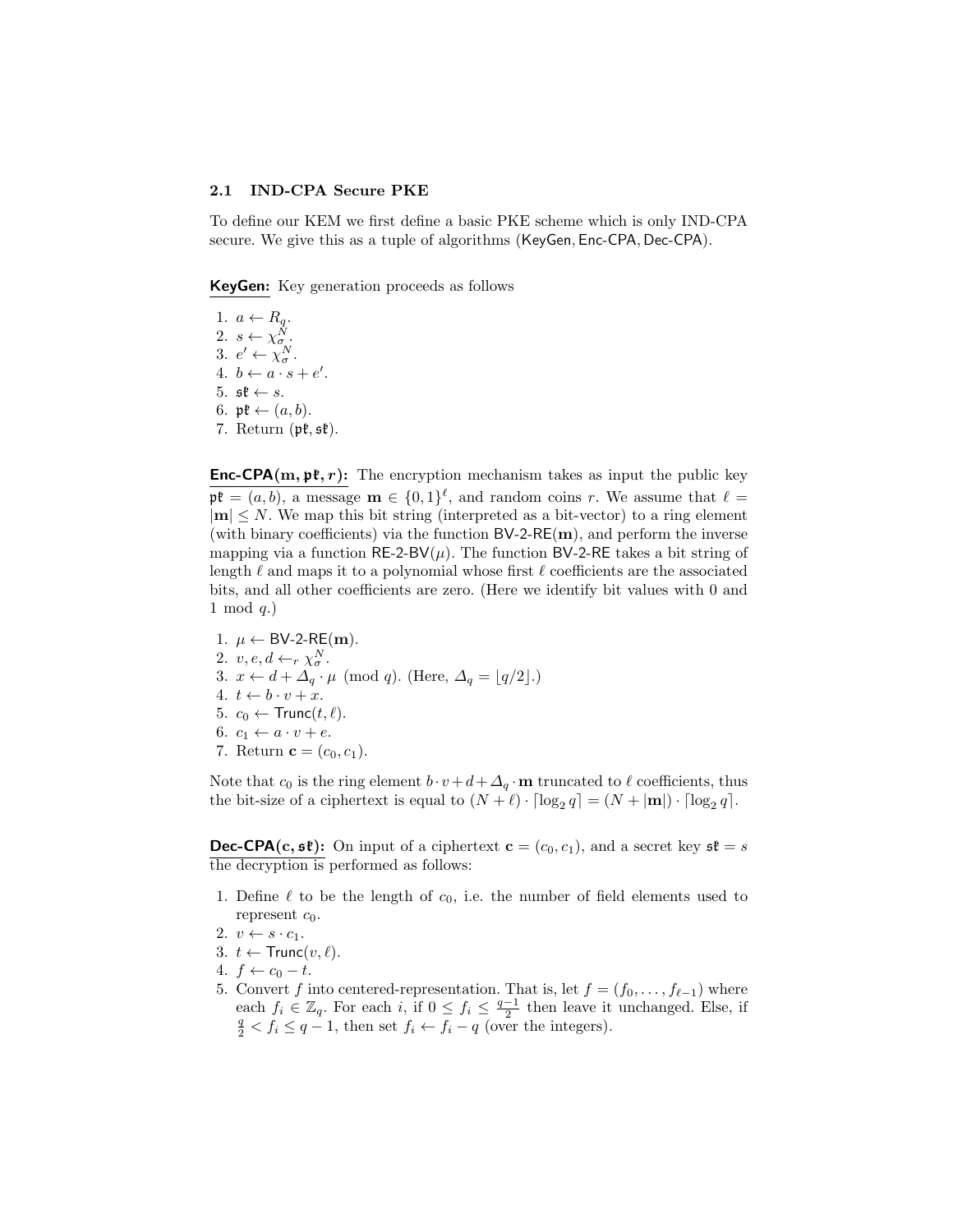### <span id="page-5-0"></span>2.1 IND-CPA Secure PKE

To define our KEM we first define a basic PKE scheme which is only IND-CPA secure. We give this as a tuple of algorithms (KeyGen, Enc-CPA, Dec-CPA).

KeyGen: Key generation proceeds as follows

1.  $a \leftarrow R_q$ . 2.  $s \leftarrow \chi_{\sigma}^{\tilde{N}}$ . 3.  $e' \leftarrow \chi^N_\sigma$ . 4.  $b \leftarrow a \cdot s + e'.$ 5.  $\mathfrak{st} \leftarrow s$ . 6.  $\mathfrak{pk} \leftarrow (a, b)$ . 7. Return  $(\mathfrak{pk}, \mathfrak{sk})$ .

**Enc-CPA(m, pt, r):** The encryption mechanism takes as input the public key  $\mathfrak{p}\mathfrak{k} = (a, b)$ , a message  $\mathbf{m} \in \{0, 1\}^{\ell}$ , and random coins r. We assume that  $\ell =$  $|m| \leq N$ . We map this bit string (interpreted as a bit-vector) to a ring element (with binary coefficients) via the function  $BV-2-RE(m)$ , and perform the inverse mapping via a function  $RE-2-BV(\mu)$ . The function BV-2-RE takes a bit string of length  $\ell$  and maps it to a polynomial whose first  $\ell$  coefficients are the associated bits, and all other coefficients are zero. (Here we identify bit values with 0 and 1 mod  $q$ .)

1.  $\mu \leftarrow BV-2-RE(m)$ . 2.  $v, e, d \leftarrow_r \chi^N_\sigma$ . 3.  $x \leftarrow d + \Delta_q \cdot \mu \pmod{q}$ . (Here,  $\Delta_q = \lfloor q/2 \rfloor$ .) 4.  $t \leftarrow b \cdot v + x$ . 5.  $c_0 \leftarrow \text{Trunc}(t, \ell)$ . 6.  $c_1 \leftarrow a \cdot v + e$ . 7. Return  ${\bf c} = (c_0, c_1)$ .

Note that  $c_0$  is the ring element  $b \cdot v + d + \Delta_q \cdot m$  truncated to  $\ell$  coefficients, thus the bit-size of a ciphertext is equal to  $(N + \ell) \cdot \lceil \log_2 q \rceil = (N + |m|) \cdot \lceil \log_2 q \rceil$ .

**Dec-CPA(c, st):** On input of a ciphertext  $\mathbf{c} = (c_0, c_1)$ , and a secret key  $\mathfrak{s} \mathfrak{k} = s$ the decryption is performed as follows:

- 1. Define  $\ell$  to be the length of  $c_0$ , i.e. the number of field elements used to represent  $c_0$ .
- 2.  $v \leftarrow s \cdot c_1$ .
- 3.  $t \leftarrow \text{Trunc}(v, \ell)$ .
- 4.  $f \leftarrow c_0 t$ .
- 5. Convert f into centered-representation. That is, let  $f = (f_0, \ldots, f_{\ell-1})$  where each  $f_i \in \mathbb{Z}_q$ . For each  $i$ , if  $0 \le f_i \le \frac{q-1}{2}$  then leave it unchanged. Else, if  $\frac{q}{2} < f_i \le q-1$ , then set  $f_i \leftarrow f_i - q$  (over the integers).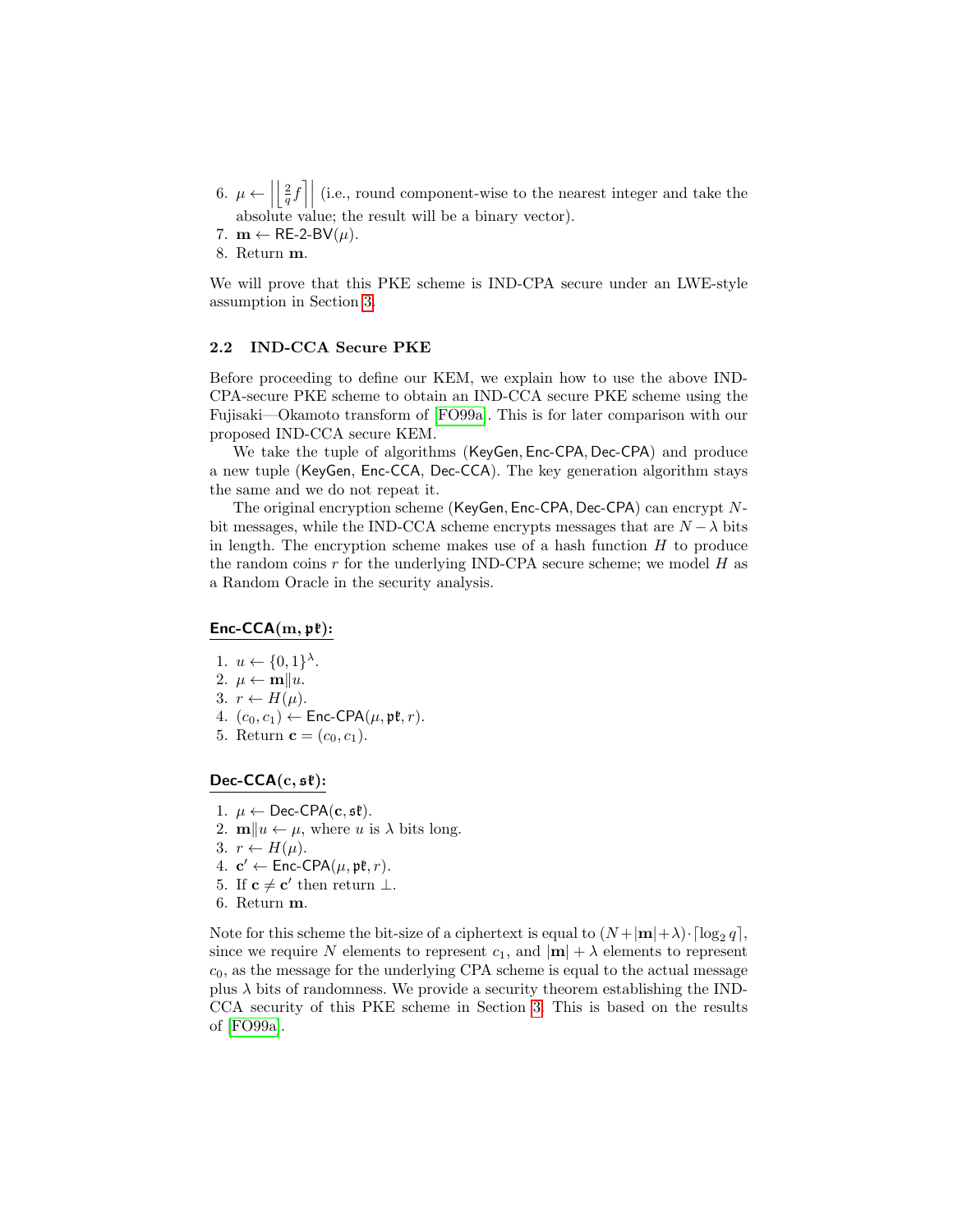- 6.  $\mu \leftarrow$  $\left\lfloor \frac{2}{q}f\right\rfloor$  (i.e., round component-wise to the nearest integer and take the absolute value; the result will be a binary vector).
- 7.  $\mathbf{m} \leftarrow \mathsf{RE}\text{-}2\text{-}\mathsf{BV}(\mu).$
- 8. Return m.

We will prove that this PKE scheme is IND-CPA secure under an LWE-style assumption in Section [3.](#page-7-0)

#### <span id="page-6-0"></span>2.2 IND-CCA Secure PKE

Before proceeding to define our KEM, we explain how to use the above IND-CPA-secure PKE scheme to obtain an IND-CCA secure PKE scheme using the Fujisaki—Okamoto transform of [\[FO99a\]](#page-16-6). This is for later comparison with our proposed IND-CCA secure KEM.

We take the tuple of algorithms (KeyGen, Enc-CPA, Dec-CPA) and produce a new tuple (KeyGen, Enc-CCA, Dec-CCA). The key generation algorithm stays the same and we do not repeat it.

The original encryption scheme (KeyGen, Enc-CPA, Dec-CPA) can encrypt Nbit messages, while the IND-CCA scheme encrypts messages that are  $N - \lambda$  bits in length. The encryption scheme makes use of a hash function  $H$  to produce the random coins  $r$  for the underlying IND-CPA secure scheme; we model  $H$  as a Random Oracle in the security analysis.

### Enc-CCA $(m, p)$ :

- 1.  $u \leftarrow \{0,1\}^{\lambda}$ .
- 2.  $\mu \leftarrow \mathbf{m}||u.$
- 3.  $r \leftarrow H(\mu)$ .
- 4.  $(c_0, c_1) \leftarrow \text{Enc-CPA}(\mu, \mathfrak{pk}, r)$ .
- 5. Return **c** =  $(c_0, c_1)$ .

### Dec-CCA $(c, s\ell)$ :

- 1.  $\mu \leftarrow$  Dec-CPA(c, st).
- 2.  $\mathbf{m}||u \leftarrow \mu$ , where u is  $\lambda$  bits long.
- 3.  $r \leftarrow H(\mu)$ .
- 4.  $\mathbf{c}' \leftarrow \mathsf{Enc\text{-}CPA}(\mu, \mathfrak{pk}, r)$ .
- 5. If  $c \neq c'$  then return  $\perp$ .
- 6. Return m.

Note for this scheme the bit-size of a ciphertext is equal to  $(N+|\mathbf{m}|+\lambda) \cdot \lceil \log_2 q \rceil$ , since we require N elements to represent  $c_1$ , and  $|\mathbf{m}| + \lambda$  elements to represent  $c_0$ , as the message for the underlying CPA scheme is equal to the actual message plus  $\lambda$  bits of randomness. We provide a security theorem establishing the IND-CCA security of this PKE scheme in Section [3.](#page-7-0) This is based on the results of [\[FO99a\]](#page-16-6).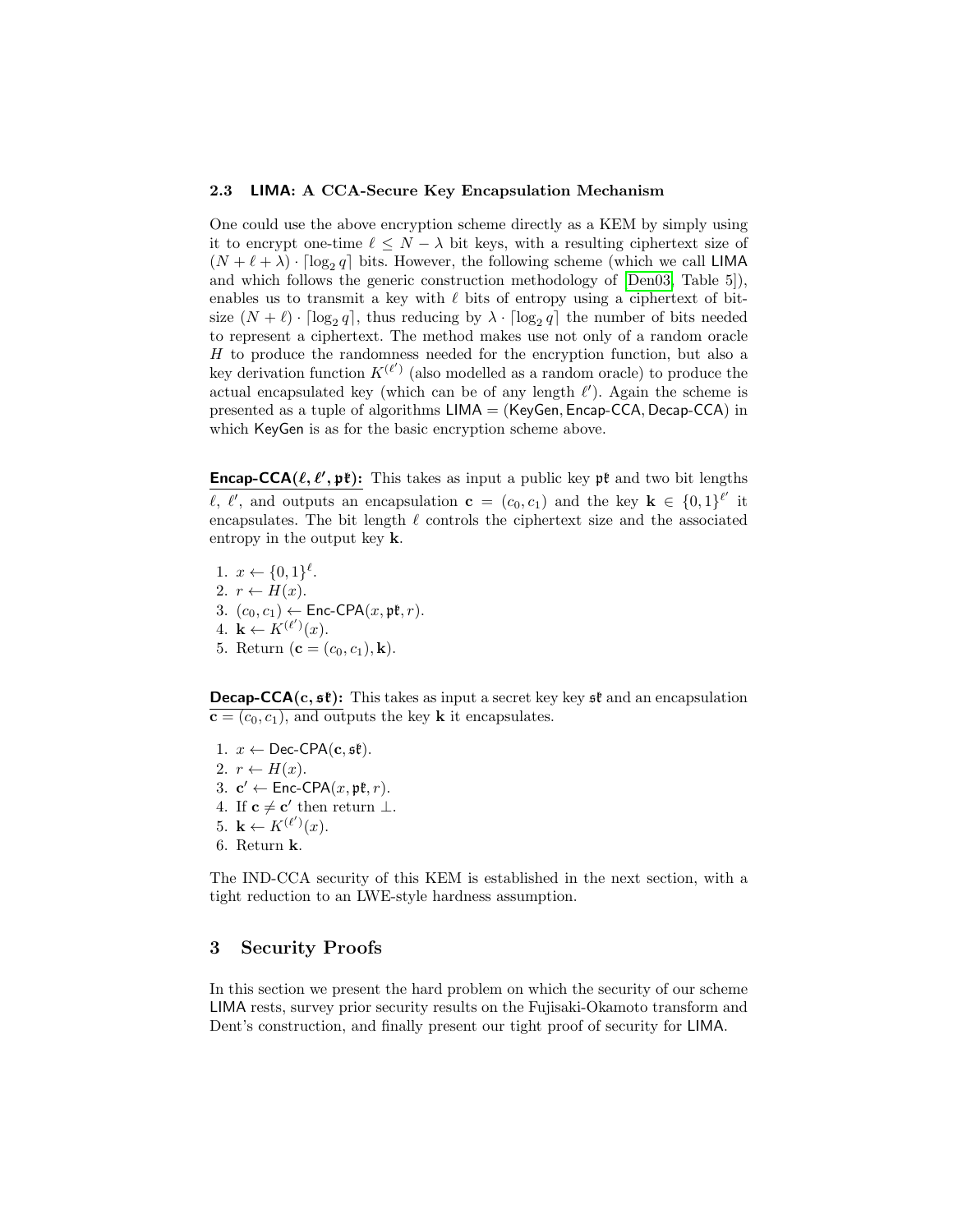### 2.3 LIMA: A CCA-Secure Key Encapsulation Mechanism

One could use the above encryption scheme directly as a KEM by simply using it to encrypt one-time  $\ell \leq N - \lambda$  bit keys, with a resulting ciphertext size of  $(N + \ell + \lambda) \cdot \lceil \log_2 q \rceil$  bits. However, the following scheme (which we call LIMA and which follows the generic construction methodology of [\[Den03,](#page-16-8) Table 5]), enables us to transmit a key with  $\ell$  bits of entropy using a ciphertext of bitsize  $(N + \ell) \cdot \lceil \log_2 q \rceil$ , thus reducing by  $\lambda \cdot \lceil \log_2 q \rceil$  the number of bits needed to represent a ciphertext. The method makes use not only of a random oracle  $H$  to produce the randomness needed for the encryption function, but also a key derivation function  $K^{(\ell')}$  (also modelled as a random oracle) to produce the actual encapsulated key (which can be of any length  $\ell'$ ). Again the scheme is presented as a tuple of algorithms LIMA = (KeyGen, Encap-CCA, Decap-CCA) in which KeyGen is as for the basic encryption scheme above.

**Encap-CCA(** $\ell, \ell', \mathfrak{pk}$ **):** This takes as input a public key  $\mathfrak{pk}$  and two bit lengths  $\ell, \ell'$ , and outputs an encapsulation  $\mathbf{c} = (c_0, c_1)$  and the key  $\mathbf{k} \in \{0,1\}^{\ell'}$  it encapsulates. The bit length  $\ell$  controls the ciphertext size and the associated entropy in the output key k.

1.  $x \leftarrow \{0,1\}^{\ell}$ . 2.  $r \leftarrow H(x)$ . 3.  $(c_0, c_1) \leftarrow \text{Enc-CPA}(x, \mathfrak{pk}, r)$ . 4.  $\mathbf{k} \leftarrow K^{(\ell')}(x)$ . 5. Return ( ${\bf c} = (c_0, c_1), {\bf k}$ ).

**Decap-CCA(c,**  $s\mathbf{\hat{t}}$ **):** This takes as input a secret key key  $s\mathbf{\hat{t}}$  and an encapsulation  $\overline{\mathbf{c} = (c_0, c_1)}$ , and outputs the key **k** it encapsulates.

- 1.  $x \leftarrow \text{Dec-CPA}(\mathbf{c}, \mathfrak{s}\mathfrak{k}).$ 2.  $r \leftarrow H(x)$ .
- 3.  $\mathbf{c}' \leftarrow \mathsf{Enc\text{-}CPA}(x, \mathfrak{pk}, r)$ .
- 4. If  $c \neq c'$  then return  $\perp$ .
- 5.  $\mathbf{k} \leftarrow K^{(\ell')}(x)$ .
- 6. Return k.

The IND-CCA security of this KEM is established in the next section, with a tight reduction to an LWE-style hardness assumption.

## <span id="page-7-0"></span>3 Security Proofs

In this section we present the hard problem on which the security of our scheme LIMA rests, survey prior security results on the Fujisaki-Okamoto transform and Dent's construction, and finally present our tight proof of security for LIMA.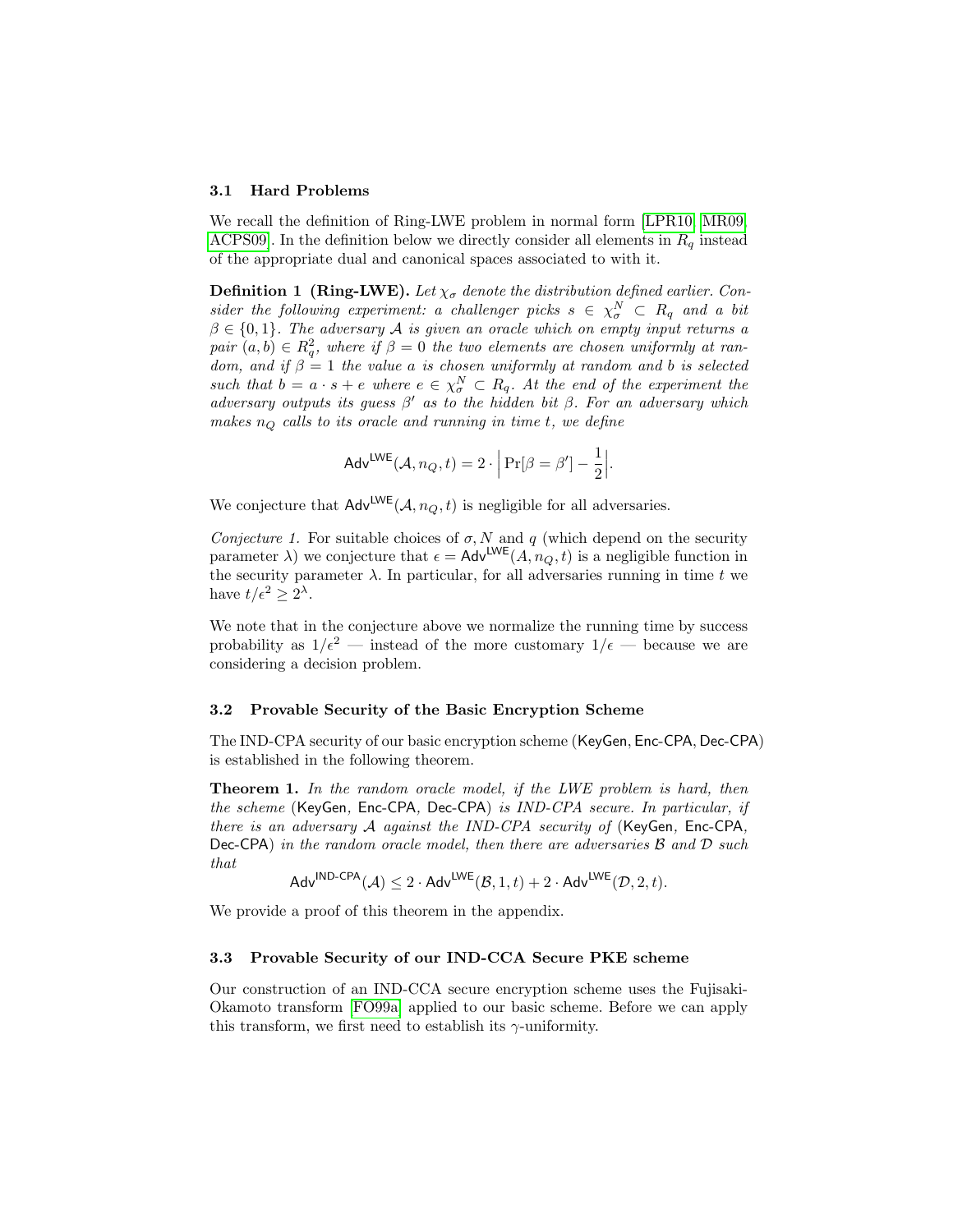#### 3.1 Hard Problems

We recall the definition of Ring-LWE problem in normal form [\[LPR10,](#page-17-11) [MR09,](#page-17-13) ACPS09. In the definition below we directly consider all elements in  $R_q$  instead of the appropriate dual and canonical spaces associated to with it.

**Definition 1 (Ring-LWE).** Let  $\chi_{\sigma}$  denote the distribution defined earlier. Consider the following experiment: a challenger picks  $s \in \chi_{\sigma}^N \subset R_q$  and a bit  $\beta \in \{0,1\}$ . The adversary A is given an oracle which on empty input returns a pair  $(a,b) \in R_q^2$ , where if  $\beta = 0$  the two elements are chosen uniformly at random, and if  $\beta = 1$  the value a is chosen uniformly at random and b is selected such that  $b = a \cdot s + e$  where  $e \in \chi^N_{\sigma} \subset R_q$ . At the end of the experiment the adversary outputs its guess  $\beta'$  as to the hidden bit  $\beta$ . For an adversary which makes  $n_Q$  calls to its oracle and running in time t, we define

$$
\mathsf{Adv}^{\mathsf{LWE}}(\mathcal{A}, n_Q, t) = 2 \cdot \left| \Pr[\beta = \beta'] - \frac{1}{2} \right|.
$$

We conjecture that  $\mathsf{Adv}^{\mathsf{LWE}}(\mathcal{A}, n_Q, t)$  is negligible for all adversaries.

Conjecture 1. For suitable choices of  $\sigma$ , N and q (which depend on the security parameter  $\lambda$ ) we conjecture that  $\epsilon = \mathsf{Adv}^{\mathsf{LWE}}(A, n_Q, t)$  is a negligible function in the security parameter  $\lambda$ . In particular, for all adversaries running in time t we have  $t/\epsilon^2 \geq 2^{\lambda}$ .

We note that in the conjecture above we normalize the running time by success probability as  $1/\epsilon^2$  — instead of the more customary  $1/\epsilon$  — because we are considering a decision problem.

#### 3.2 Provable Security of the Basic Encryption Scheme

The IND-CPA security of our basic encryption scheme (KeyGen, Enc-CPA, Dec-CPA) is established in the following theorem.

**Theorem 1.** In the random oracle model, if the LWE problem is hard, then the scheme (KeyGen, Enc-CPA, Dec-CPA) is IND-CPA secure. In particular, if there is an adversary A against the IND-CPA security of (KeyGen, Enc-CPA, Dec-CPA) in the random oracle model, then there are adversaries  $\beta$  and  $\mathcal D$  such that

<span id="page-8-1"></span> $\mathsf{Adv}^{\mathsf{IND}\text{-}\mathsf{CPA}}(\mathcal{A}) \leq 2 \cdot \mathsf{Adv}^{\mathsf{LWE}}(\mathcal{B},1,t) + 2 \cdot \mathsf{Adv}^{\mathsf{LWE}}(\mathcal{D},2,t).$ 

We provide a proof of this theorem in the appendix.

#### 3.3 Provable Security of our IND-CCA Secure PKE scheme

<span id="page-8-0"></span>Our construction of an IND-CCA secure encryption scheme uses the Fujisaki-Okamoto transform [\[FO99a\]](#page-16-6) applied to our basic scheme. Before we can apply this transform, we first need to establish its  $\gamma$ -uniformity.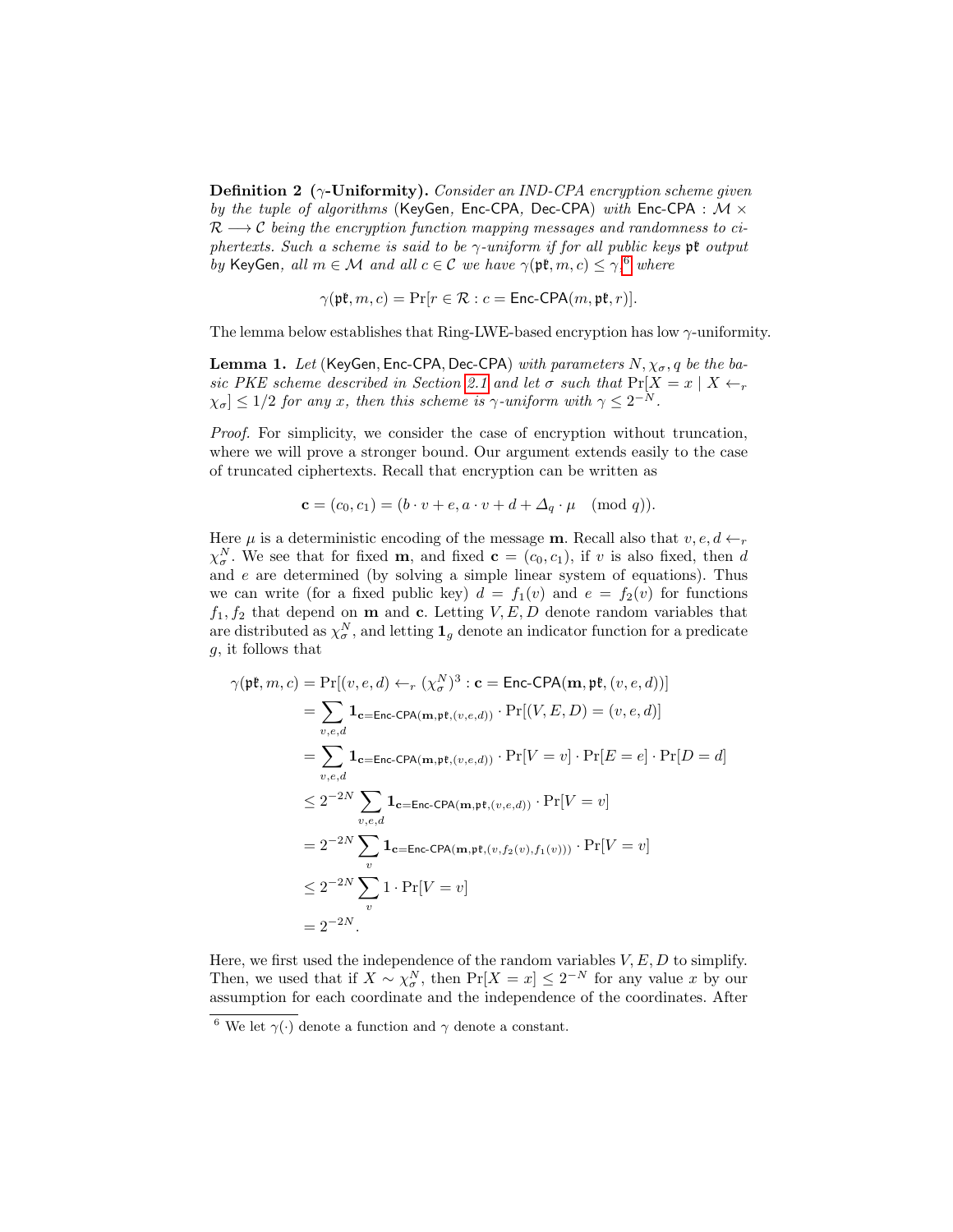**Definition 2** ( $\gamma$ -Uniformity). Consider an IND-CPA encryption scheme given by the tuple of algorithms (KeyGen, Enc-CPA, Dec-CPA) with Enc-CPA :  $M \times$  $\mathcal{R} \longrightarrow \mathcal{C}$  being the encryption function mapping messages and randomness to ciphertexts. Such a scheme is said to be  $\gamma$ -uniform if for all public keys pt output by KeyGen, all  $m \in \mathcal{M}$  and all  $c \in \mathcal{C}$  we have  $\gamma(\mathfrak{pk}, m, c) \leq \gamma,^6$  $\gamma(\mathfrak{pk}, m, c) \leq \gamma,^6$  where

$$
\gamma(\mathfrak{pk}, m, c) = \Pr[r \in \mathcal{R} : c = \mathsf{Enc-CPA}(m, \mathfrak{pk}, r)].
$$

The lemma below establishes that Ring-LWE-based encryption has low  $\gamma$ -uniformity.

**Lemma 1.** Let (KeyGen, Enc-CPA, Dec-CPA) with parameters  $N, \chi_{\sigma}, q$  be the ba-sic PKE scheme described in Section [2.1](#page-5-0) and let  $\sigma$  such that  $Pr[X = x | X \leftarrow_r$  $|\chi_{\sigma}| \leq 1/2$  for any x, then this scheme is  $\gamma$ -uniform with  $\gamma \leq 2^{-N}$ .

Proof. For simplicity, we consider the case of encryption without truncation, where we will prove a stronger bound. Our argument extends easily to the case of truncated ciphertexts. Recall that encryption can be written as

$$
\mathbf{c} = (c_0, c_1) = (b \cdot v + e, a \cdot v + d + \Delta_q \cdot \mu \pmod{q}).
$$

Here  $\mu$  is a deterministic encoding of the message **m**. Recall also that  $v, e, d \leftarrow_r$  $\chi^N_{\sigma}$ . We see that for fixed **m**, and fixed **c** =  $(c_0, c_1)$ , if v is also fixed, then d and  $e$  are determined (by solving a simple linear system of equations). Thus we can write (for a fixed public key)  $d = f_1(v)$  and  $e = f_2(v)$  for functions  $f_1, f_2$  that depend on **m** and **c**. Letting  $V, E, D$  denote random variables that are distributed as  $\chi^N_{\sigma}$ , and letting  $\mathbf{1}_g$  denote an indicator function for a predicate g, it follows that

$$
\gamma(\mathfrak{pk}, m, c) = \Pr[(v, e, d) \leftarrow_r (\chi^N_{\sigma})^3 : \mathbf{c} = \text{Enc-CPA}(\mathbf{m}, \mathfrak{pk}, (v, e, d))]
$$
  
\n
$$
= \sum_{v, e, d} \mathbf{1}_{\mathbf{c} = \text{Enc-CPA}(\mathbf{m}, \mathfrak{pk}, (v, e, d))} \cdot \Pr[(V, E, D) = (v, e, d)]
$$
  
\n
$$
= \sum_{v, e, d} \mathbf{1}_{\mathbf{c} = \text{Enc-CPA}(\mathbf{m}, \mathfrak{pk}, (v, e, d))} \cdot \Pr[V = v] \cdot \Pr[E = e] \cdot \Pr[D = d]
$$
  
\n
$$
\leq 2^{-2N} \sum_{v, e, d} \mathbf{1}_{\mathbf{c} = \text{Enc-CPA}(\mathbf{m}, \mathfrak{pk}, (v, e, d))} \cdot \Pr[V = v]
$$
  
\n
$$
= 2^{-2N} \sum_{v} \mathbf{1}_{\mathbf{c} = \text{Enc-CPA}(\mathbf{m}, \mathfrak{pk}, (v, f_2(v), f_1(v)))} \cdot \Pr[V = v]
$$
  
\n
$$
\leq 2^{-2N} \sum_{v} 1 \cdot \Pr[V = v]
$$
  
\n
$$
= 2^{-2N}.
$$

Here, we first used the independence of the random variables  $V, E, D$  to simplify. Then, we used that if  $X \sim \chi_{\sigma}^N$ , then  $Pr[X = x] \leq 2^{-N}$  for any value x by our assumption for each coordinate and the independence of the coordinates. After

<span id="page-9-0"></span><sup>&</sup>lt;sup>6</sup> We let  $\gamma(\cdot)$  denote a function and  $\gamma$  denote a constant.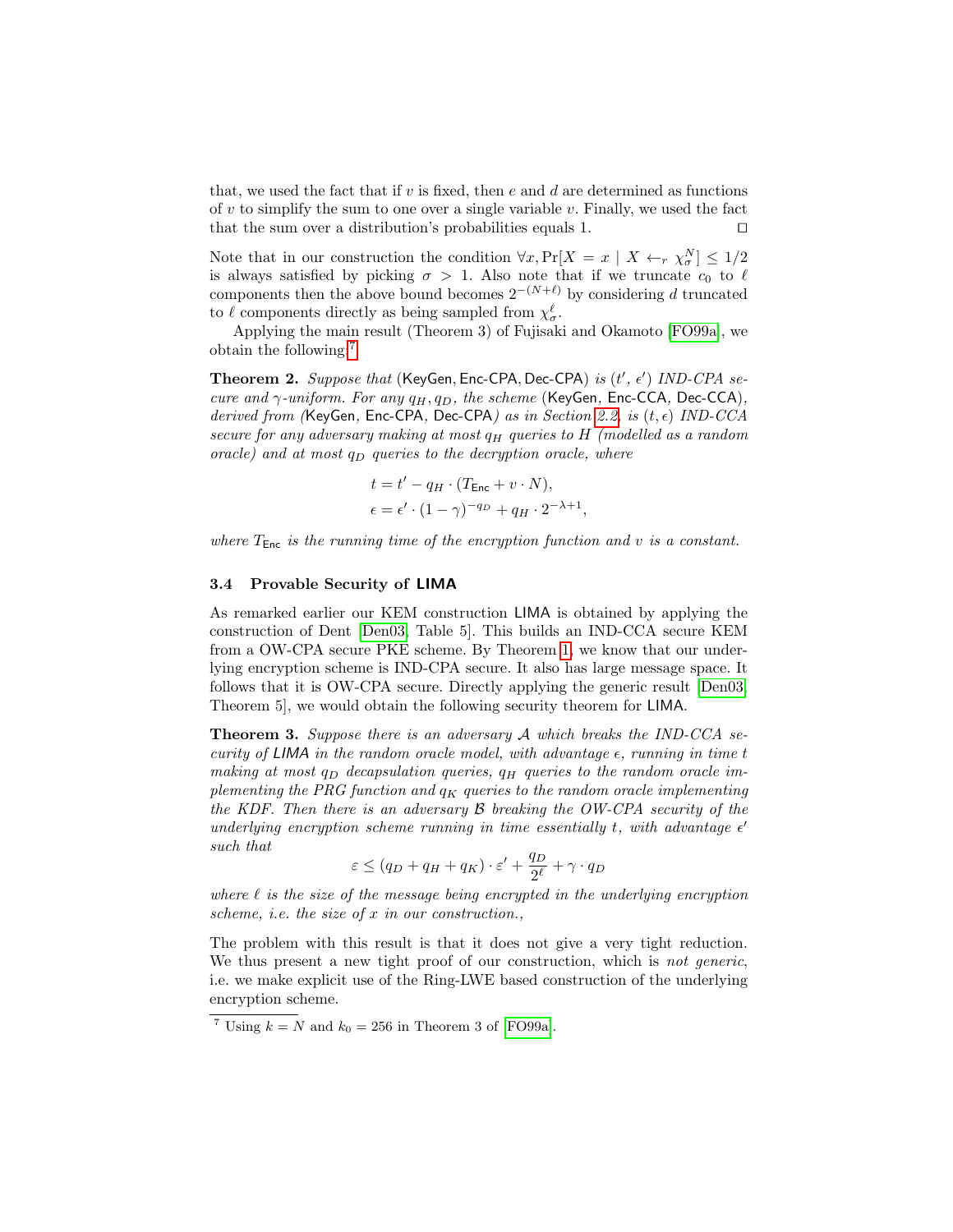that, we used the fact that if v is fixed, then  $e$  and  $d$  are determined as functions of v to simplify the sum to one over a single variable v. Finally, we used the fact that the sum over a distribution's probabilities equals 1.  $\Box$ 

Note that in our construction the condition  $\forall x, \Pr[X = x \mid X \leftarrow_r \chi^N_{\sigma}] \leq 1/2$ is always satisfied by picking  $\sigma > 1$ . Also note that if we truncate  $c_0$  to  $\ell$ components then the above bound becomes  $2^{-(N+\ell)}$  by considering d truncated to  $\ell$  components directly as being sampled from  $\chi^{\ell}_{\sigma}$ .

Applying the main result (Theorem 3) of Fujisaki and Okamoto [\[FO99a\]](#page-16-6), we obtain the following:[7](#page-10-0)

Theorem 2. Suppose that (KeyGen, Enc-CPA, Dec-CPA) is  $(t', \epsilon')$  IND-CPA secure and  $\gamma$ -uniform. For any  $q_H, q_D$ , the scheme (KeyGen, Enc-CCA, Dec-CCA), derived from (KeyGen, Enc-CPA, Dec-CPA) as in Section [2.2,](#page-6-0) is  $(t, \epsilon)$  IND-CCA secure for any adversary making at most  $q_H$  queries to  $H$  (modelled as a random oracle) and at most  $q_D$  queries to the decryption oracle, where

$$
t = t' - q_H \cdot (T_{\text{Enc}} + v \cdot N),
$$
  

$$
\epsilon = \epsilon' \cdot (1 - \gamma)^{-q_D} + q_H \cdot 2^{-\lambda + 1},
$$

where  $T_{Enc}$  is the running time of the encryption function and v is a constant.

#### 3.4 Provable Security of LIMA

As remarked earlier our KEM construction LIMA is obtained by applying the construction of Dent [\[Den03,](#page-16-8) Table 5]. This builds an IND-CCA secure KEM from a OW-CPA secure PKE scheme. By Theorem [1,](#page-8-1) we know that our underlying encryption scheme is IND-CPA secure. It also has large message space. It follows that it is OW-CPA secure. Directly applying the generic result [\[Den03,](#page-16-8) Theorem 5], we would obtain the following security theorem for LIMA.

**Theorem 3.** Suppose there is an adversary A which breaks the IND-CCA security of LIMA in the random oracle model, with advantage  $\epsilon$ , running in time t making at most  $q_D$  decapsulation queries,  $q_H$  queries to the random oracle implementing the PRG function and  $q_K$  queries to the random oracle implementing the KDF. Then there is an adversary B breaking the OW-CPA security of the underlying encryption scheme running in time essentially t, with advantage  $\epsilon'$ such that

$$
\varepsilon \le (q_D + q_H + q_K) \cdot \varepsilon' + \frac{q_D}{2^{\ell}} + \gamma \cdot q_D
$$

where  $\ell$  is the size of the message being encrypted in the underlying encryption scheme, i.e. the size of x in our construction.,

The problem with this result is that it does not give a very tight reduction. We thus present a new tight proof of our construction, which is not generic, i.e. we make explicit use of the Ring-LWE based construction of the underlying encryption scheme.

<span id="page-10-1"></span><span id="page-10-0"></span><sup>&</sup>lt;sup>7</sup> Using  $k = N$  and  $k_0 = 256$  in Theorem 3 of [\[FO99a\]](#page-16-6).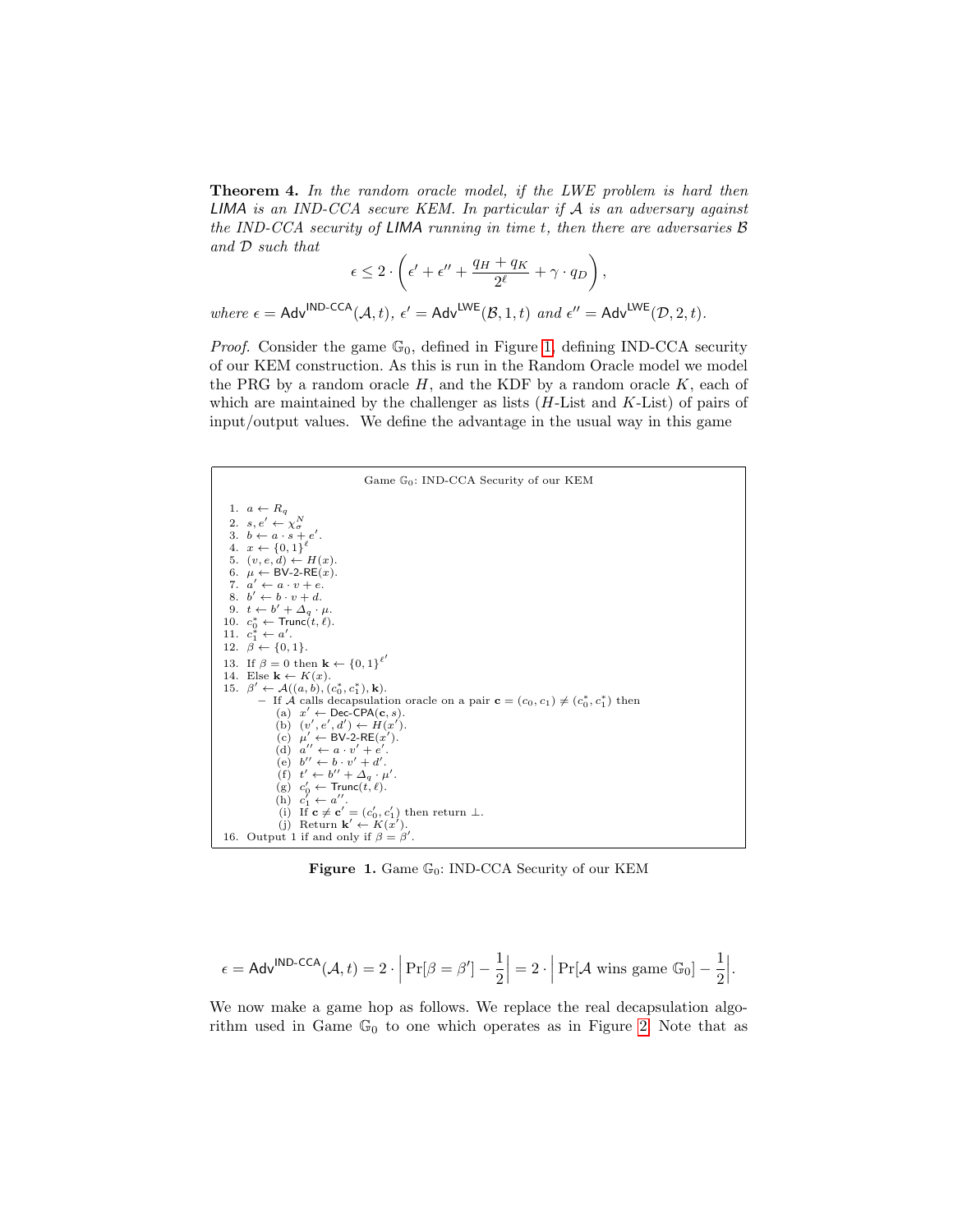**Theorem 4.** In the random oracle model, if the LWE problem is hard then **LIMA** is an IND-CCA secure KEM. In particular if  $A$  is an adversary against the IND-CCA security of LIMA running in time  $t$ , then there are adversaries  $\beta$ and D such that

$$
\epsilon \leq 2 \cdot \left( \epsilon' + \epsilon'' + \frac{q_H + q_K}{2^{\ell}} + \gamma \cdot q_D \right),
$$

where  $\epsilon = \text{Adv}^{\text{IND-CCA}}(\mathcal{A},t), \epsilon' = \text{Adv}^{\text{LWE}}(\mathcal{B},1,t)$  and  $\epsilon'' = \text{Adv}^{\text{LWE}}(\mathcal{D},2,t)$ .

*Proof.* Consider the game  $\mathbb{G}_0$ , defined in Figure [1,](#page-11-0) defining IND-CCA security of our KEM construction. As this is run in the Random Oracle model we model the PRG by a random oracle  $H$ , and the KDF by a random oracle  $K$ , each of which are maintained by the challenger as lists  $(H$ -List and  $K$ -List) of pairs of input/output values. We define the advantage in the usual way in this game

| Game $\mathbb{G}_0$ : IND-CCA Security of our KEM                                                                                                                                                                                                                                                                                                                                                                                                                                                                                      |
|----------------------------------------------------------------------------------------------------------------------------------------------------------------------------------------------------------------------------------------------------------------------------------------------------------------------------------------------------------------------------------------------------------------------------------------------------------------------------------------------------------------------------------------|
| 1. $a \leftarrow R_a$<br>2. $s, e' \leftarrow \chi^N_\sigma$<br>3. $b \leftarrow a \cdot s + e'$ .<br>4. $x \leftarrow \{0, 1\}^{\ell}$<br>5. $(v, e, d) \leftarrow H(x)$ .<br>6. $\mu \leftarrow BV-2-RE(x)$ .<br>7. $a' \leftarrow a \cdot v + e$ .<br>$8 \quad b' \leftarrow b \cdot v + d$<br>9. $t \leftarrow b' + \Delta_a \cdot \mu$ .<br>10. $c_0^* \leftarrow \text{Trunc}(t, \ell)$ .<br>11. $c_1^* \leftarrow a'$ .<br>12. $\beta \leftarrow \{0, 1\}.$<br>13. If $\beta = 0$ then $\mathbf{k} \leftarrow \{0, 1\}^{\ell'}$ |
| 14. Else $\mathbf{k} \leftarrow K(x)$ .<br>15. $\beta' \leftarrow \mathcal{A}((a, b), (c_0^*, c_1^*), \mathbf{k}).$                                                                                                                                                                                                                                                                                                                                                                                                                    |
| - If $\mathcal A$ calls decapsulation oracle on a pair $\mathbf{c} = (c_0, c_1) \neq (c_0^*, c_1^*)$ then<br>(a) $x' \leftarrow \text{Dec-CPA}(\mathbf{c}, s)$ .                                                                                                                                                                                                                                                                                                                                                                       |
| (b) $(v', e', d') \leftarrow H(x')$ .                                                                                                                                                                                                                                                                                                                                                                                                                                                                                                  |
| (c) $\mu' \leftarrow BV-2-RE(x')$ .<br>(d) $a'' \leftarrow a \cdot v' + e'$ .                                                                                                                                                                                                                                                                                                                                                                                                                                                          |
| (e) $b'' \leftarrow b \cdot v' + d'$ .<br>(f) $t' \leftarrow b'' + \Delta_a \cdot \mu'$ .                                                                                                                                                                                                                                                                                                                                                                                                                                              |
| (g) $c'_0 \leftarrow \text{Trunc}(t, \ell)$ .<br>(h) $c'_1 \leftarrow a''$ .                                                                                                                                                                                                                                                                                                                                                                                                                                                           |
| (i) If $\mathbf{c} \neq \mathbf{c}' = (c'_0, c'_1)$ then return $\perp$ .                                                                                                                                                                                                                                                                                                                                                                                                                                                              |
| (i) Return $\mathbf{k}' \leftarrow K(x')$ .                                                                                                                                                                                                                                                                                                                                                                                                                                                                                            |
| 16. Output 1 if and only if $\beta = \beta'$ .                                                                                                                                                                                                                                                                                                                                                                                                                                                                                         |

<span id="page-11-0"></span>Figure 1. Game  $\mathbb{G}_0$ : IND-CCA Security of our KEM

$$
\epsilon = \mathsf{Adv}^{\mathsf{IND}\text{-}\mathsf{CCA}}(\mathcal{A},t) = 2\cdot\Big|\Pr[\beta = \beta'] - \frac{1}{2}\Big| = 2\cdot\Big|\Pr[\mathcal{A} \text{ wins game }\mathbb{G}_0] - \frac{1}{2}\Big|.
$$

We now make a game hop as follows. We replace the real decapsulation algorithm used in Game  $\mathbb{G}_0$  to one which operates as in Figure [2.](#page-12-0) Note that as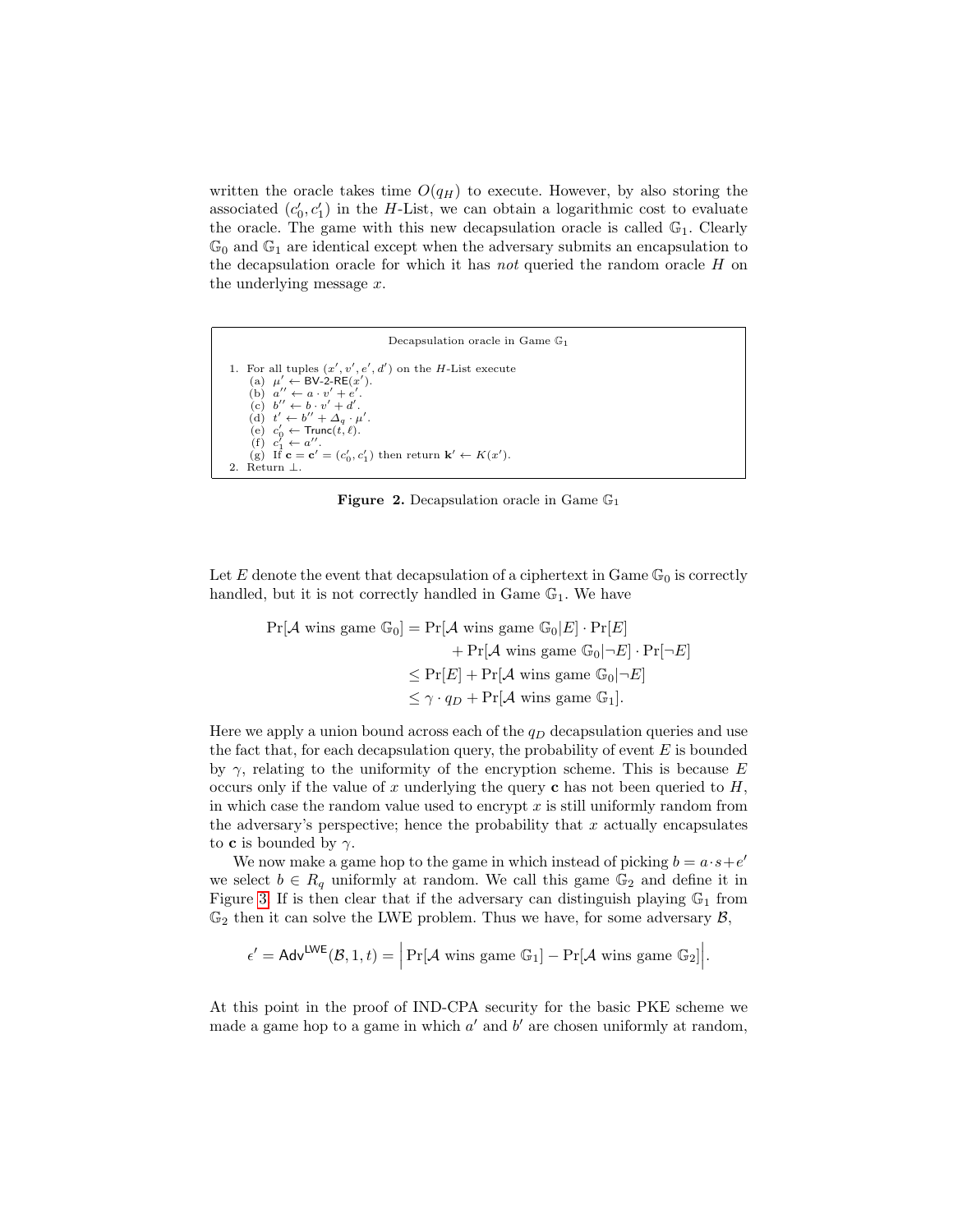written the oracle takes time  $O(q_H)$  to execute. However, by also storing the associated  $(c'_0, c'_1)$  in the H-List, we can obtain a logarithmic cost to evaluate the oracle. The game with this new decapsulation oracle is called  $\mathbb{G}_1$ . Clearly  $\mathbb{G}_0$  and  $\mathbb{G}_1$  are identical except when the adversary submits an encapsulation to the decapsulation oracle for which it has not queried the random oracle  $H$  on the underlying message x.

Decapsulation oracle in Game G<sup>1</sup> 1. For all tuples  $(x', v', e', d')$  on the H-List execute (a)  $\mu' \leftarrow BV\text{-}2\text{-}RE(x')$ .<br>
(b)  $a'' \leftarrow a \cdot v' + e'$ .<br>
(c)  $b'' \leftarrow b \cdot v' + d'$ .<br>
(d)  $t' \leftarrow b'' + d'$ . (d)  $t' \leftarrow b'' + \Delta_q \cdot \mu$ .  $\left(\mathrm{e}\right)$   $c'_{0}$  $\leftarrow$  Trunc $(t, \ell)$ .  $(f)$   $c_1'$  $a''_1 \leftarrow a''_1$ (f)  $c'_1 \leftarrow a''$ .<br>
(g) If  $\mathbf{c} = \mathbf{c}' = (c'_0, c'_1)$  then return  $\mathbf{k}' \leftarrow K(x')$ . 2. Return ⊥.

<span id="page-12-0"></span>**Figure 2.** Decapsulation oracle in Game  $\mathbb{G}_1$ 

Let E denote the event that decapsulation of a ciphertext in Game  $\mathbb{G}_0$  is correctly handled, but it is not correctly handled in Game  $\mathbb{G}_1$ . We have

$$
\Pr[\mathcal{A} \text{ wins game } \mathbb{G}_0] = \Pr[\mathcal{A} \text{ wins game } \mathbb{G}_0 | E] \cdot \Pr[E] + \Pr[\mathcal{A} \text{ wins game } \mathbb{G}_0 | \neg E] \cdot \Pr[\neg E] \leq \Pr[E] + \Pr[\mathcal{A} \text{ wins game } \mathbb{G}_0 | \neg E] \leq \gamma \cdot q_D + \Pr[\mathcal{A} \text{ wins game } \mathbb{G}_1].
$$

Here we apply a union bound across each of the  $q_D$  decapsulation queries and use the fact that, for each decapsulation query, the probability of event  $E$  is bounded by  $\gamma$ , relating to the uniformity of the encryption scheme. This is because E occurs only if the value of x underlying the query c has not been queried to  $H$ , in which case the random value used to encrypt  $x$  is still uniformly random from the adversary's perspective; hence the probability that  $x$  actually encapsulates to **c** is bounded by  $\gamma$ .

We now make a game hop to the game in which instead of picking  $b = a \cdot s + e'$ we select  $b \in R_q$  uniformly at random. We call this game  $\mathbb{G}_2$  and define it in Figure [3.](#page-13-0) If is then clear that if the adversary can distinguish playing  $\mathbb{G}_1$  from  $\mathbb{G}_2$  then it can solve the LWE problem. Thus we have, for some adversary  $\mathcal{B}$ ,

$$
\epsilon' = \mathsf{Adv}^{\mathsf{LWE}}(\mathcal{B}, 1, t) = \Big|\Pr[\mathcal{A} \text{ wins game } \mathbb{G}_1] - \Pr[\mathcal{A} \text{ wins game } \mathbb{G}_2]\Big|.
$$

At this point in the proof of IND-CPA security for the basic PKE scheme we made a game hop to a game in which  $a'$  and  $b'$  are chosen uniformly at random,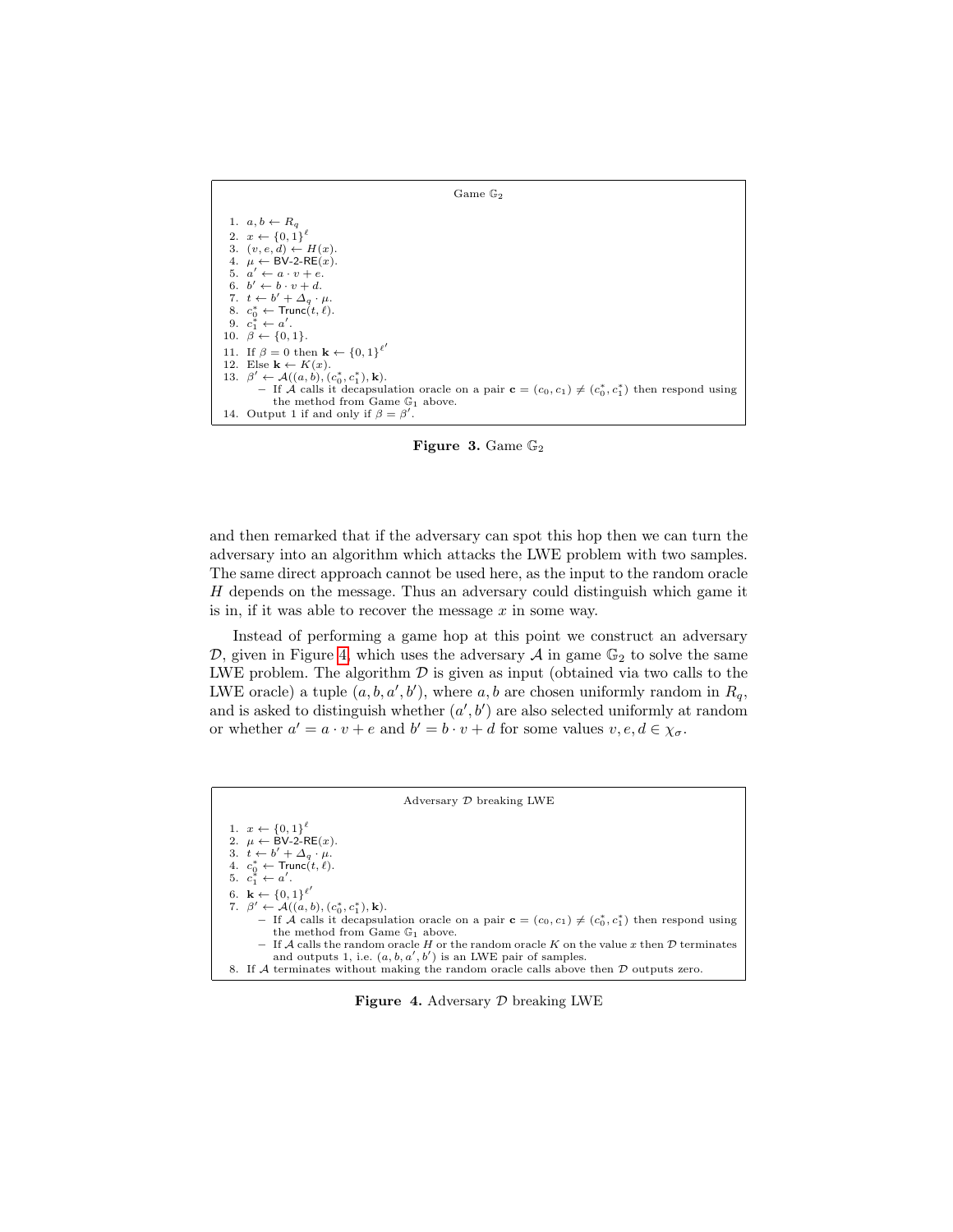

<span id="page-13-0"></span>Figure 3. Game  $\mathbb{G}_2$ 

and then remarked that if the adversary can spot this hop then we can turn the adversary into an algorithm which attacks the LWE problem with two samples. The same direct approach cannot be used here, as the input to the random oracle H depends on the message. Thus an adversary could distinguish which game it is in, if it was able to recover the message  $x$  in some way.

Instead of performing a game hop at this point we construct an adversary D, given in Figure [4,](#page-13-1) which uses the adversary  $A$  in game  $\mathbb{G}_2$  to solve the same LWE problem. The algorithm  $\mathcal D$  is given as input (obtained via two calls to the LWE oracle) a tuple  $(a, b, a', b')$ , where a, b are chosen uniformly random in  $R_q$ , and is asked to distinguish whether  $(a', b')$  are also selected uniformly at random or whether  $a' = a \cdot v + e$  and  $b' = b \cdot v + d$  for some values  $v, e, d \in \chi_{\sigma}$ .

| Adversary $D$ breaking LWE                                                                                      |  |  |  |
|-----------------------------------------------------------------------------------------------------------------|--|--|--|
| 1. $x \leftarrow \{0,1\}^{\ell}$                                                                                |  |  |  |
| 2. $\mu \leftarrow BV-2-RE(x)$ .                                                                                |  |  |  |
| 3. $t \leftarrow b' + \Delta_a \cdot \mu$ .                                                                     |  |  |  |
| 4. $c_0^* \leftarrow \text{Trunc}(t, \ell)$ .<br>5. $c_1^* \leftarrow a'$ .                                     |  |  |  |
|                                                                                                                 |  |  |  |
| 6. $\mathbf{k} \leftarrow \{0, 1\}^{\ell'}$                                                                     |  |  |  |
| 7. $\beta' \leftarrow \mathcal{A}((a, b), (c_0^*, c_1^*), \mathbf{k}).$                                         |  |  |  |
| - If A calls it decapsulation oracle on a pair $\mathbf{c} = (c_0, c_1) \neq (c_0^*, c_1^*)$ then respond using |  |  |  |
| the method from Game $\mathbb{G}_1$ above.                                                                      |  |  |  |
| - If A calls the random oracle H or the random oracle K on the value x then $\mathcal D$ terminates             |  |  |  |
| and outputs 1, i.e. $(a, b, a', b')$ is an LWE pair of samples.                                                 |  |  |  |
| 8. If A terminates without making the random oracle calls above then $\mathcal D$ outputs zero.                 |  |  |  |

<span id="page-13-1"></span>Figure 4. Adversary  $D$  breaking LWE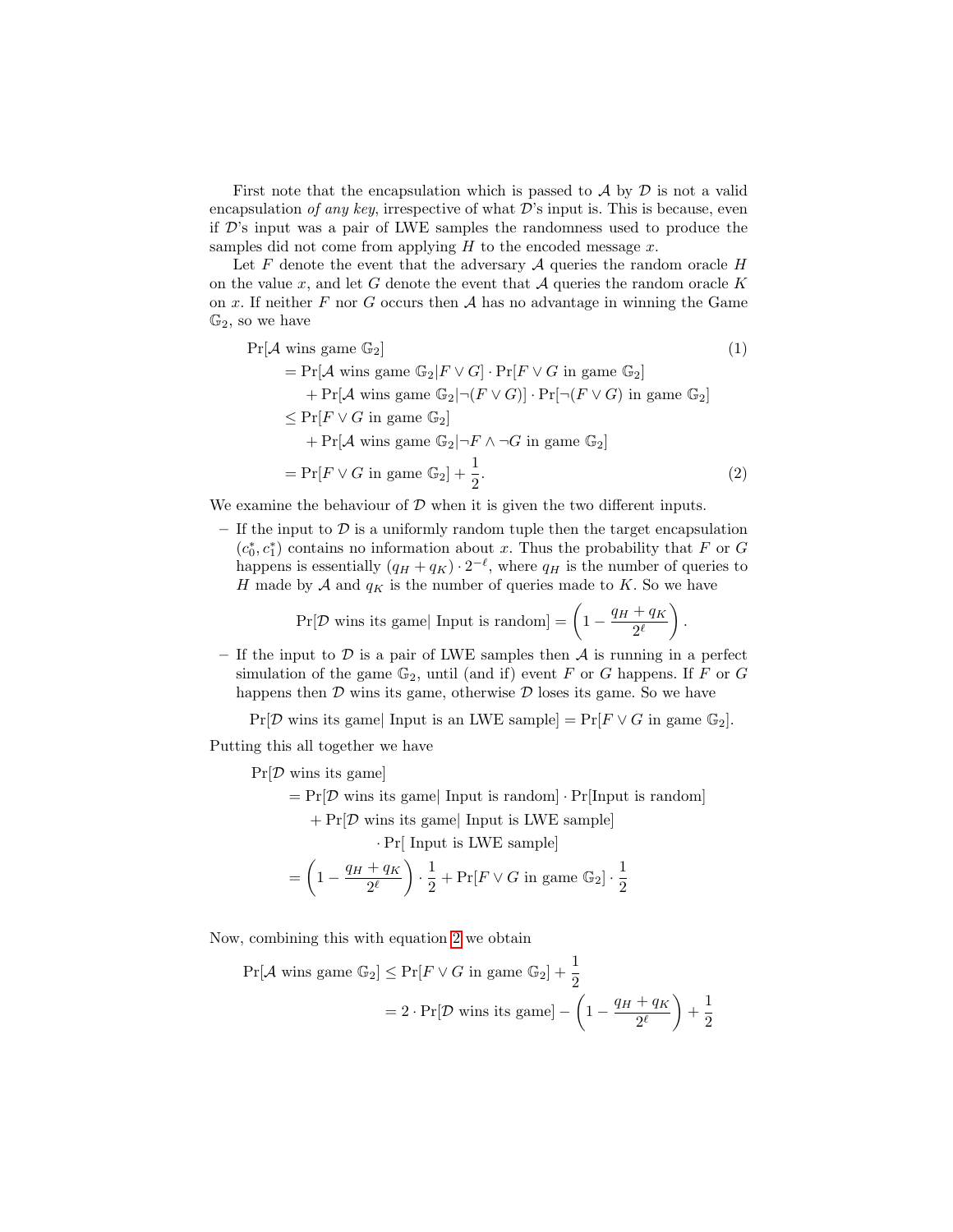First note that the encapsulation which is passed to  $\mathcal A$  by  $\mathcal D$  is not a valid encapsulation of any key, irrespective of what  $\mathcal{D}'$ 's input is. This is because, even if D's input was a pair of LWE samples the randomness used to produce the samples did not come from applying  $H$  to the encoded message  $x$ .

Let  $F$  denote the event that the adversary  $A$  queries the random oracle  $H$ on the value x, and let G denote the event that  $A$  queries the random oracle  $K$ on x. If neither  $F$  nor  $G$  occurs then  $A$  has no advantage in winning the Game  $\mathbb{G}_2$ , so we have

$$
\Pr[\mathcal{A} \text{ wins game } \mathbb{G}_2] \tag{1}
$$
\n
$$
= \Pr[\mathcal{A} \text{ wins game } \mathbb{G}_2 | F \lor G] \cdot \Pr[F \lor G \text{ in game } \mathbb{G}_2] + \Pr[\mathcal{A} \text{ wins game } \mathbb{G}_2 | \neg (F \lor G)] \cdot \Pr[\neg (F \lor G) \text{ in game } \mathbb{G}_2] \le \Pr[F \lor G \text{ in game } \mathbb{G}_2] + \Pr[\mathcal{A} \text{ wins game } \mathbb{G}_2 | \neg F \land \neg G \text{ in game } \mathbb{G}_2] = \Pr[F \lor G \text{ in game } \mathbb{G}_2] + \frac{1}{2}.
$$
\n(2)

We examine the behaviour of  $D$  when it is given the two different inputs.

– If the input to  $\mathcal D$  is a uniformly random tuple then the target encapsulation  $(c_0^*, c_1^*)$  contains no information about x. Thus the probability that F or G happens is essentially  $(q_H + q_K) \cdot 2^{-\ell}$ , where  $q_H$  is the number of queries to H made by  $A$  and  $q_K$  is the number of queries made to K. So we have

<span id="page-14-0"></span>
$$
\Pr[\mathcal{D} \text{ wins its game} | \text{ Input is random}] = \left(1 - \frac{q_H + q_K}{2^{\ell}}\right).
$$

– If the input to D is a pair of LWE samples then  $A$  is running in a perfect simulation of the game  $\mathbb{G}_2$ , until (and if) event F or G happens. If F or G happens then  $D$  wins its game, otherwise  $D$  loses its game. So we have

 $Pr[\mathcal{D}$  wins its game| Input is an LWE sample] =  $Pr[F \vee G]$  in game  $\mathbb{G}_2$ .

Putting this all together we have

 $Pr[\mathcal{D}$  wins its game

 $= Pr[\mathcal{D}$  wins its game| Input is random]  $\cdot Pr[Input$  is random]

 $+ Pr[D \text{ wins its game} | Input \text{ is LWE sample}]$ 

· Pr[ Input is LWE sample]

$$
= \left(1 - \frac{q_H + q_K}{2^{\ell}}\right) \cdot \frac{1}{2} + \Pr[F \vee G \text{ in game } \mathbb{G}_2] \cdot \frac{1}{2}
$$

Now, combining this with equation [2](#page-14-0) we obtain

$$
\Pr[\mathcal{A} \text{ wins game } \mathbb{G}_2] \le \Pr[F \lor G \text{ in game } \mathbb{G}_2] + \frac{1}{2}
$$

$$
= 2 \cdot \Pr[\mathcal{D} \text{ wins its game}] - \left(1 - \frac{q_H + q_K}{2^{\ell}}\right) + \frac{1}{2}
$$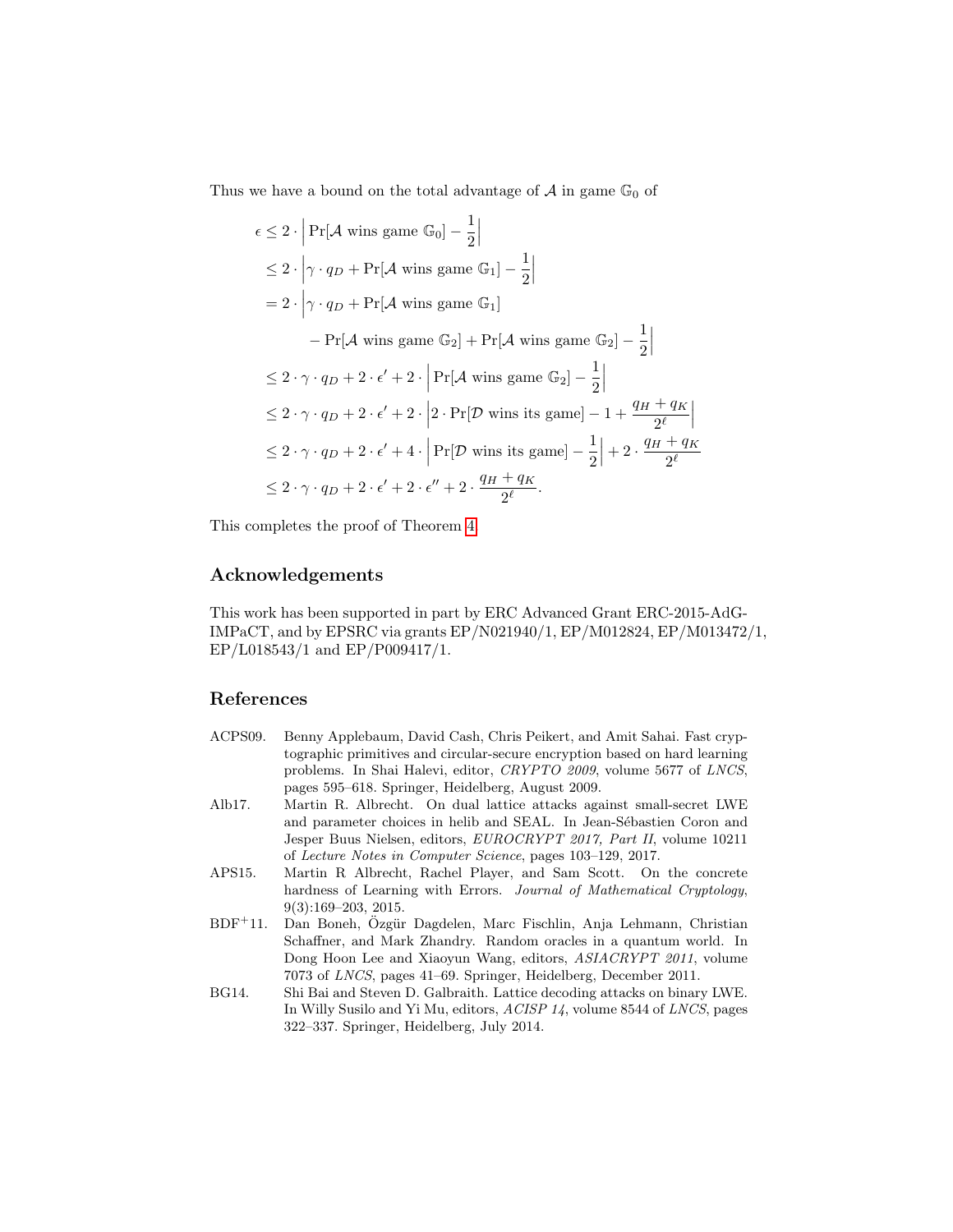Thus we have a bound on the total advantage of  $A$  in game  $\mathbb{G}_0$  of

$$
\epsilon \leq 2 \cdot \left| \Pr[\mathcal{A} \text{ wins game } \mathbb{G}_0] - \frac{1}{2} \right|
$$
  
\n
$$
\leq 2 \cdot \left| \gamma \cdot q_D + \Pr[\mathcal{A} \text{ wins game } \mathbb{G}_1] - \frac{1}{2} \right|
$$
  
\n
$$
= 2 \cdot \left| \gamma \cdot q_D + \Pr[\mathcal{A} \text{ wins game } \mathbb{G}_1] \right|
$$
  
\n
$$
- \Pr[\mathcal{A} \text{ wins game } \mathbb{G}_2] + \Pr[\mathcal{A} \text{ wins game } \mathbb{G}_2] - \frac{1}{2} \right|
$$
  
\n
$$
\leq 2 \cdot \gamma \cdot q_D + 2 \cdot \epsilon' + 2 \cdot \left| \Pr[\mathcal{A} \text{ wins game } \mathbb{G}_2] - \frac{1}{2} \right|
$$
  
\n
$$
\leq 2 \cdot \gamma \cdot q_D + 2 \cdot \epsilon' + 2 \cdot \left| 2 \cdot \Pr[\mathcal{D} \text{ wins is game}] - 1 + \frac{q_H + q_K}{2^{\ell}} \right|
$$
  
\n
$$
\leq 2 \cdot \gamma \cdot q_D + 2 \cdot \epsilon' + 4 \cdot \left| \Pr[\mathcal{D} \text{ wins its game}] - \frac{1}{2} \right| + 2 \cdot \frac{q_H + q_K}{2^{\ell}}
$$
  
\n
$$
\leq 2 \cdot \gamma \cdot q_D + 2 \cdot \epsilon' + 2 \cdot \epsilon'' + 2 \cdot \frac{q_H + q_K}{2^{\ell}}.
$$

This completes the proof of Theorem [4.](#page-10-1)

### Acknowledgements

This work has been supported in part by ERC Advanced Grant ERC-2015-AdG-IMPaCT, and by EPSRC via grants EP/N021940/1, EP/M012824, EP/M013472/1, EP/L018543/1 and EP/P009417/1.

### References

- <span id="page-15-4"></span>ACPS09. Benny Applebaum, David Cash, Chris Peikert, and Amit Sahai. Fast cryptographic primitives and circular-secure encryption based on hard learning problems. In Shai Halevi, editor, CRYPTO 2009, volume 5677 of LNCS, pages 595–618. Springer, Heidelberg, August 2009.
- <span id="page-15-2"></span>Alb17. Martin R. Albrecht. On dual lattice attacks against small-secret LWE and parameter choices in helib and SEAL. In Jean-Sébastien Coron and Jesper Buus Nielsen, editors, EUROCRYPT 2017, Part II, volume 10211 of Lecture Notes in Computer Science, pages 103–129, 2017.
- <span id="page-15-1"></span>APS15. Martin R Albrecht, Rachel Player, and Sam Scott. On the concrete hardness of Learning with Errors. Journal of Mathematical Cryptology, 9(3):169–203, 2015.
- <span id="page-15-3"></span>BDF<sup>+</sup>11. Dan Boneh, Özgür Dagdelen, Marc Fischlin, Anja Lehmann, Christian Schaffner, and Mark Zhandry. Random oracles in a quantum world. In Dong Hoon Lee and Xiaoyun Wang, editors, ASIACRYPT 2011, volume 7073 of LNCS, pages 41–69. Springer, Heidelberg, December 2011.
- <span id="page-15-0"></span>BG14. Shi Bai and Steven D. Galbraith. Lattice decoding attacks on binary LWE. In Willy Susilo and Yi Mu, editors, ACISP 14, volume 8544 of LNCS, pages 322–337. Springer, Heidelberg, July 2014.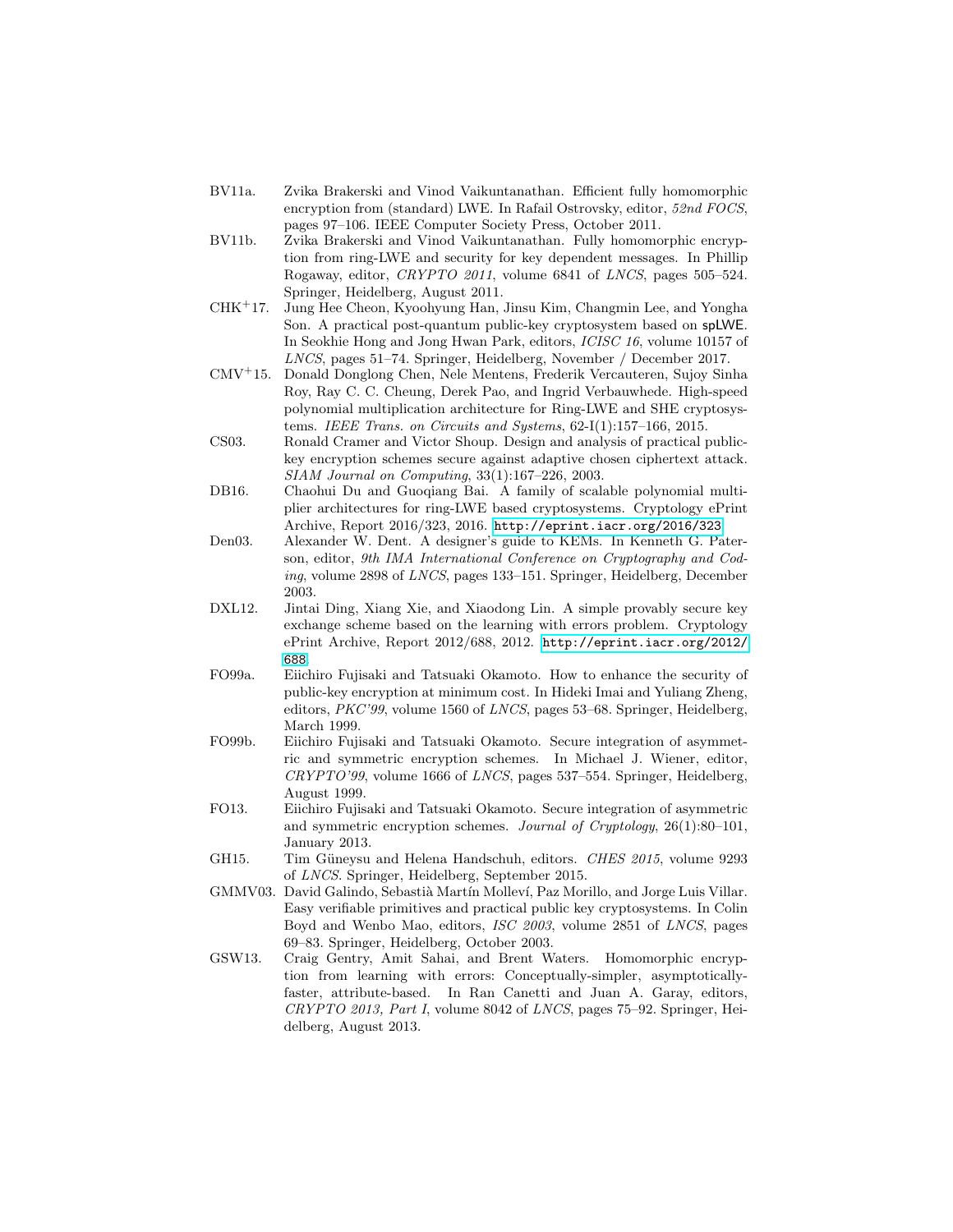- <span id="page-16-4"></span>BV11a. Zvika Brakerski and Vinod Vaikuntanathan. Efficient fully homomorphic encryption from (standard) LWE. In Rafail Ostrovsky, editor, 52nd FOCS, pages 97–106. IEEE Computer Society Press, October 2011.
- <span id="page-16-3"></span>BV11b. Zvika Brakerski and Vinod Vaikuntanathan. Fully homomorphic encryption from ring-LWE and security for key dependent messages. In Phillip Rogaway, editor, CRYPTO 2011, volume 6841 of LNCS, pages 505–524. Springer, Heidelberg, August 2011.
- <span id="page-16-0"></span>CHK<sup>+</sup>17. Jung Hee Cheon, Kyoohyung Han, Jinsu Kim, Changmin Lee, and Yongha Son. A practical post-quantum public-key cryptosystem based on spLWE. In Seokhie Hong and Jong Hwan Park, editors, ICISC 16, volume 10157 of LNCS, pages 51–74. Springer, Heidelberg, November / December 2017.
- <span id="page-16-1"></span>CMV<sup>+</sup>15. Donald Donglong Chen, Nele Mentens, Frederik Vercauteren, Sujoy Sinha Roy, Ray C. C. Cheung, Derek Pao, and Ingrid Verbauwhede. High-speed polynomial multiplication architecture for Ring-LWE and SHE cryptosystems. IEEE Trans. on Circuits and Systems, 62-I(1):157–166, 2015.
- <span id="page-16-7"></span>CS03. Ronald Cramer and Victor Shoup. Design and analysis of practical publickey encryption schemes secure against adaptive chosen ciphertext attack. SIAM Journal on Computing, 33(1):167–226, 2003.
- <span id="page-16-2"></span>DB16. Chaohui Du and Guoqiang Bai. A family of scalable polynomial multiplier architectures for ring-LWE based cryptosystems. Cryptology ePrint Archive, Report 2016/323, 2016. <http://eprint.iacr.org/2016/323>.
- <span id="page-16-8"></span>Den03. Alexander W. Dent. A designer's guide to KEMs. In Kenneth G. Paterson, editor, 9th IMA International Conference on Cryptography and Coding, volume 2898 of LNCS, pages 133–151. Springer, Heidelberg, December 2003.
- <span id="page-16-12"></span>DXL12. Jintai Ding, Xiang Xie, and Xiaodong Lin. A simple provably secure key exchange scheme based on the learning with errors problem. Cryptology ePrint Archive, Report 2012/688, 2012. [http://eprint.iacr.org/2012/](http://eprint.iacr.org/2012/688) [688](http://eprint.iacr.org/2012/688).
- <span id="page-16-6"></span>FO99a. Eiichiro Fujisaki and Tatsuaki Okamoto. How to enhance the security of public-key encryption at minimum cost. In Hideki Imai and Yuliang Zheng, editors, PKC'99, volume 1560 of LNCS, pages 53–68. Springer, Heidelberg, March 1999.
- <span id="page-16-9"></span>FO99b. Eiichiro Fujisaki and Tatsuaki Okamoto. Secure integration of asymmetric and symmetric encryption schemes. In Michael J. Wiener, editor, CRYPTO'99, volume 1666 of LNCS, pages 537–554. Springer, Heidelberg, August 1999.
- <span id="page-16-10"></span>FO13. Eiichiro Fujisaki and Tatsuaki Okamoto. Secure integration of asymmetric and symmetric encryption schemes. Journal of Cryptology, 26(1):80–101, January 2013.
- <span id="page-16-13"></span>GH15. Tim Güneysu and Helena Handschuh, editors. CHES 2015, volume 9293 of LNCS. Springer, Heidelberg, September 2015.
- <span id="page-16-11"></span>GMMV03. David Galindo, Sebastià Martín Molleví, Paz Morillo, and Jorge Luis Villar. Easy verifiable primitives and practical public key cryptosystems. In Colin Boyd and Wenbo Mao, editors, ISC 2003, volume 2851 of LNCS, pages 69–83. Springer, Heidelberg, October 2003.
- <span id="page-16-5"></span>GSW13. Craig Gentry, Amit Sahai, and Brent Waters. Homomorphic encryption from learning with errors: Conceptually-simpler, asymptoticallyfaster, attribute-based. In Ran Canetti and Juan A. Garay, editors, CRYPTO 2013, Part I, volume 8042 of LNCS, pages 75–92. Springer, Heidelberg, August 2013.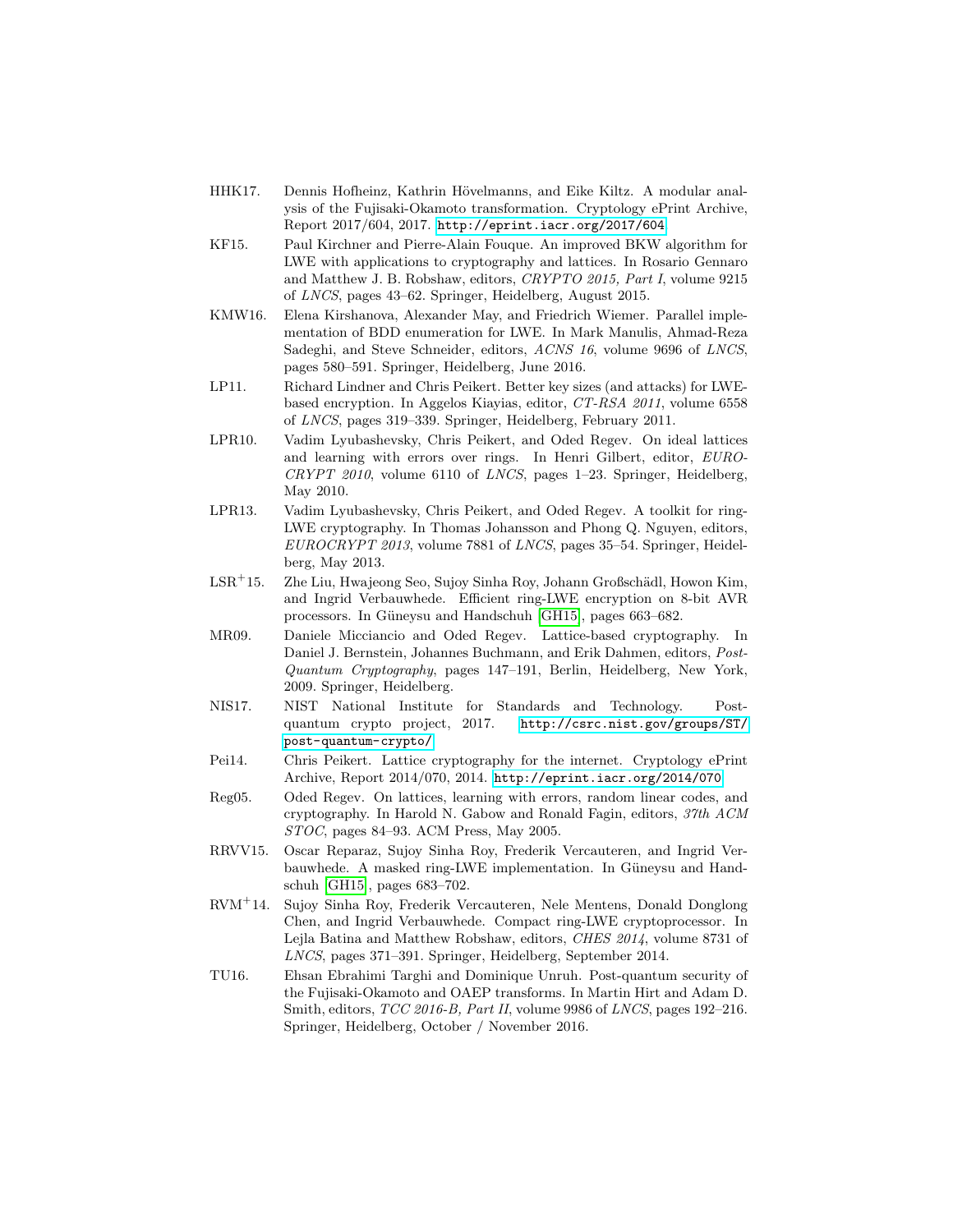- <span id="page-17-10"></span>HHK17. Dennis Hofheinz, Kathrin Hövelmanns, and Eike Kiltz. A modular analysis of the Fujisaki-Okamoto transformation. Cryptology ePrint Archive, Report 2017/604, 2017. <http://eprint.iacr.org/2017/604>.
- <span id="page-17-7"></span>KF15. Paul Kirchner and Pierre-Alain Fouque. An improved BKW algorithm for LWE with applications to cryptography and lattices. In Rosario Gennaro and Matthew J. B. Robshaw, editors, CRYPTO 2015, Part I, volume 9215 of LNCS, pages 43–62. Springer, Heidelberg, August 2015.
- <span id="page-17-8"></span>KMW16. Elena Kirshanova, Alexander May, and Friedrich Wiemer. Parallel implementation of BDD enumeration for LWE. In Mark Manulis, Ahmad-Reza Sadeghi, and Steve Schneider, editors, ACNS 16, volume 9696 of LNCS, pages 580–591. Springer, Heidelberg, June 2016.
- <span id="page-17-6"></span>LP11. Richard Lindner and Chris Peikert. Better key sizes (and attacks) for LWEbased encryption. In Aggelos Kiayias, editor, CT-RSA 2011, volume 6558 of LNCS, pages 319–339. Springer, Heidelberg, February 2011.
- <span id="page-17-11"></span>LPR10. Vadim Lyubashevsky, Chris Peikert, and Oded Regev. On ideal lattices and learning with errors over rings. In Henri Gilbert, editor, EURO-CRYPT 2010, volume 6110 of LNCS, pages 1–23. Springer, Heidelberg, May 2010.
- <span id="page-17-2"></span>LPR13. Vadim Lyubashevsky, Chris Peikert, and Oded Regev. A toolkit for ring-LWE cryptography. In Thomas Johansson and Phong Q. Nguyen, editors, EUROCRYPT 2013, volume 7881 of LNCS, pages 35–54. Springer, Heidelberg, May 2013.
- <span id="page-17-3"></span>LSR<sup>+</sup>15. Zhe Liu, Hwajeong Seo, Sujoy Sinha Roy, Johann Großschädl, Howon Kim, and Ingrid Verbauwhede. Efficient ring-LWE encryption on 8-bit AVR processors. In Güneysu and Handschuh [\[GH15\]](#page-16-13), pages 663–682.
- <span id="page-17-13"></span>MR09. Daniele Micciancio and Oded Regev. Lattice-based cryptography. In Daniel J. Bernstein, Johannes Buchmann, and Erik Dahmen, editors, Post-Quantum Cryptography, pages 147–191, Berlin, Heidelberg, New York, 2009. Springer, Heidelberg.
- <span id="page-17-0"></span>NIS17. NIST National Institute for Standards and Technology. Postquantum crypto project, 2017. [http://csrc.nist.gov/groups/ST/](http://csrc.nist.gov/groups/ST/post-quantum-crypto/) [post-quantum-crypto/](http://csrc.nist.gov/groups/ST/post-quantum-crypto/).
- <span id="page-17-9"></span>Pei14. Chris Peikert. Lattice cryptography for the internet. Cryptology ePrint Archive, Report 2014/070, 2014. <http://eprint.iacr.org/2014/070>.
- <span id="page-17-1"></span>Reg05. Oded Regev. On lattices, learning with errors, random linear codes, and cryptography. In Harold N. Gabow and Ronald Fagin, editors, 37th ACM STOC, pages 84–93. ACM Press, May 2005.
- <span id="page-17-4"></span>RRVV15. Oscar Reparaz, Sujoy Sinha Roy, Frederik Vercauteren, and Ingrid Verbauwhede. A masked ring-LWE implementation. In Güneysu and Handschuh [\[GH15\]](#page-16-13), pages 683–702.
- <span id="page-17-5"></span>RVM<sup>+</sup>14. Sujoy Sinha Roy, Frederik Vercauteren, Nele Mentens, Donald Donglong Chen, and Ingrid Verbauwhede. Compact ring-LWE cryptoprocessor. In Lejla Batina and Matthew Robshaw, editors, CHES 2014, volume 8731 of LNCS, pages 371–391. Springer, Heidelberg, September 2014.
- <span id="page-17-12"></span>TU16. Ehsan Ebrahimi Targhi and Dominique Unruh. Post-quantum security of the Fujisaki-Okamoto and OAEP transforms. In Martin Hirt and Adam D. Smith, editors, TCC 2016-B, Part II, volume 9986 of LNCS, pages 192-216. Springer, Heidelberg, October / November 2016.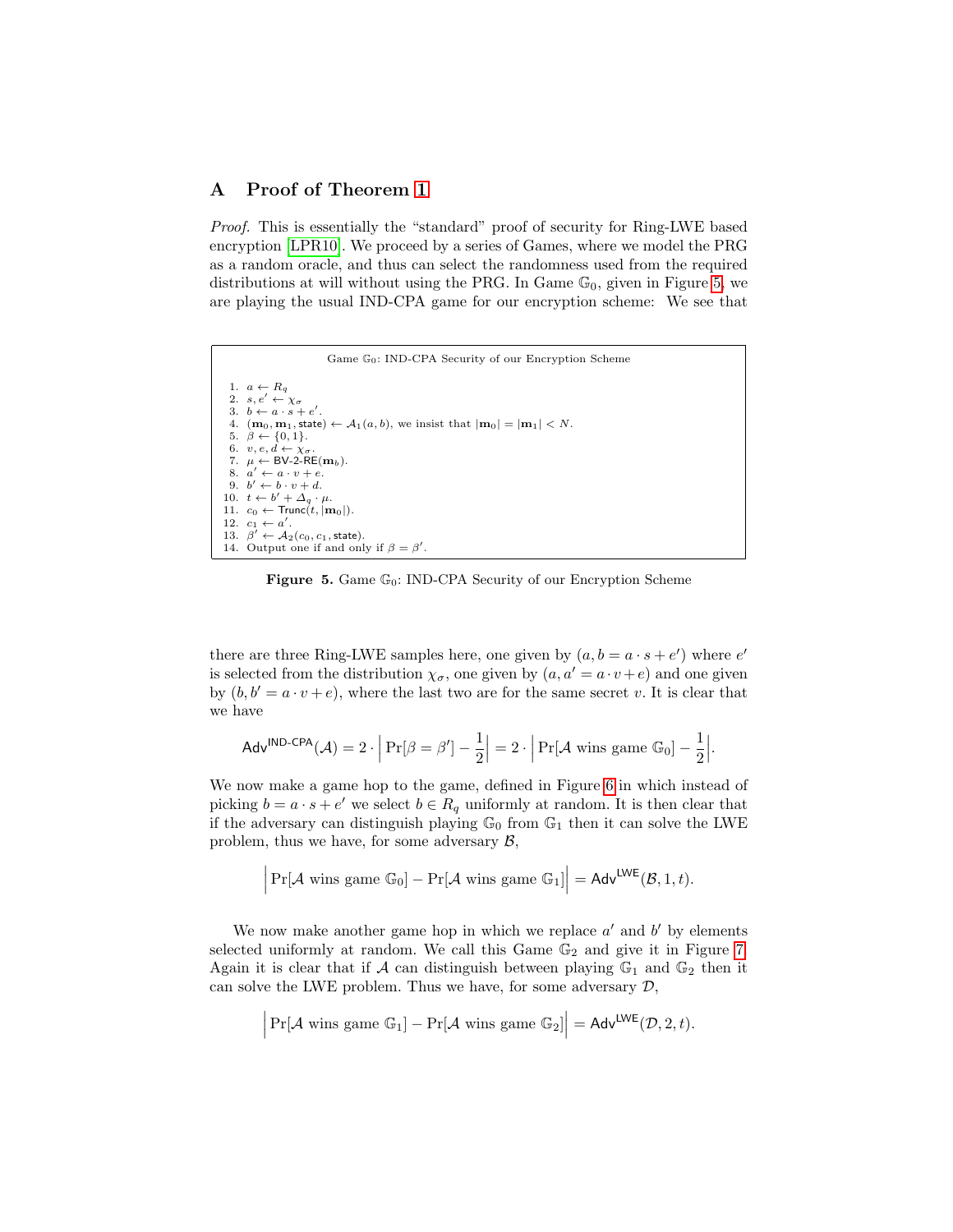# A Proof of Theorem [1](#page-8-1)

Proof. This is essentially the "standard" proof of security for Ring-LWE based encryption [\[LPR10\]](#page-17-11). We proceed by a series of Games, where we model the PRG as a random oracle, and thus can select the randomness used from the required distributions at will without using the PRG. In Game  $\mathbb{G}_0$ , given in Figure [5,](#page-18-0) we are playing the usual IND-CPA game for our encryption scheme: We see that



<span id="page-18-0"></span>Figure 5. Game  $\mathbb{G}_0$ : IND-CPA Security of our Encryption Scheme

there are three Ring-LWE samples here, one given by  $(a, b = a \cdot s + e')$  where  $e'$ is selected from the distribution  $\chi_{\sigma}$ , one given by  $(a, a' = a \cdot v + e)$  and one given by  $(b, b' = a \cdot v + e)$ , where the last two are for the same secret v. It is clear that we have

$$
\mathsf{Adv}^{\mathsf{IND}\text{-}\mathsf{CPA}}(\mathcal{A}) = 2 \cdot \left| \Pr[\beta = \beta'] - \frac{1}{2} \right| = 2 \cdot \left| \Pr[\mathcal{A} \text{ wins game } \mathbb{G}_0] - \frac{1}{2} \right|.
$$

We now make a game hop to the game, defined in Figure [6](#page-19-0) in which instead of picking  $b = a \cdot s + e'$  we select  $b \in R_q$  uniformly at random. It is then clear that if the adversary can distinguish playing  $\mathbb{G}_0$  from  $\mathbb{G}_1$  then it can solve the LWE problem, thus we have, for some adversary  $\mathcal{B}$ ,

$$
\left|\Pr[\mathcal{A} \text{ wins game } \mathbb{G}_0] - \Pr[\mathcal{A} \text{ wins game } \mathbb{G}_1]\right| = \mathsf{Adv}^{\mathsf{LWE}}(\mathcal{B}, 1, t).
$$

We now make another game hop in which we replace  $a'$  and  $b'$  by elements selected uniformly at random. We call this Game  $\mathbb{G}_2$  and give it in Figure [7.](#page-19-1) Again it is clear that if A can distinguish between playing  $\mathbb{G}_1$  and  $\mathbb{G}_2$  then it can solve the LWE problem. Thus we have, for some adversary  $D$ ,

$$
\left| \Pr[\mathcal{A} \text{ wins game } \mathbb{G}_1] - \Pr[\mathcal{A} \text{ wins game } \mathbb{G}_2] \right| = \mathsf{Adv}^{\mathsf{LWE}}(\mathcal{D}, 2, t).
$$